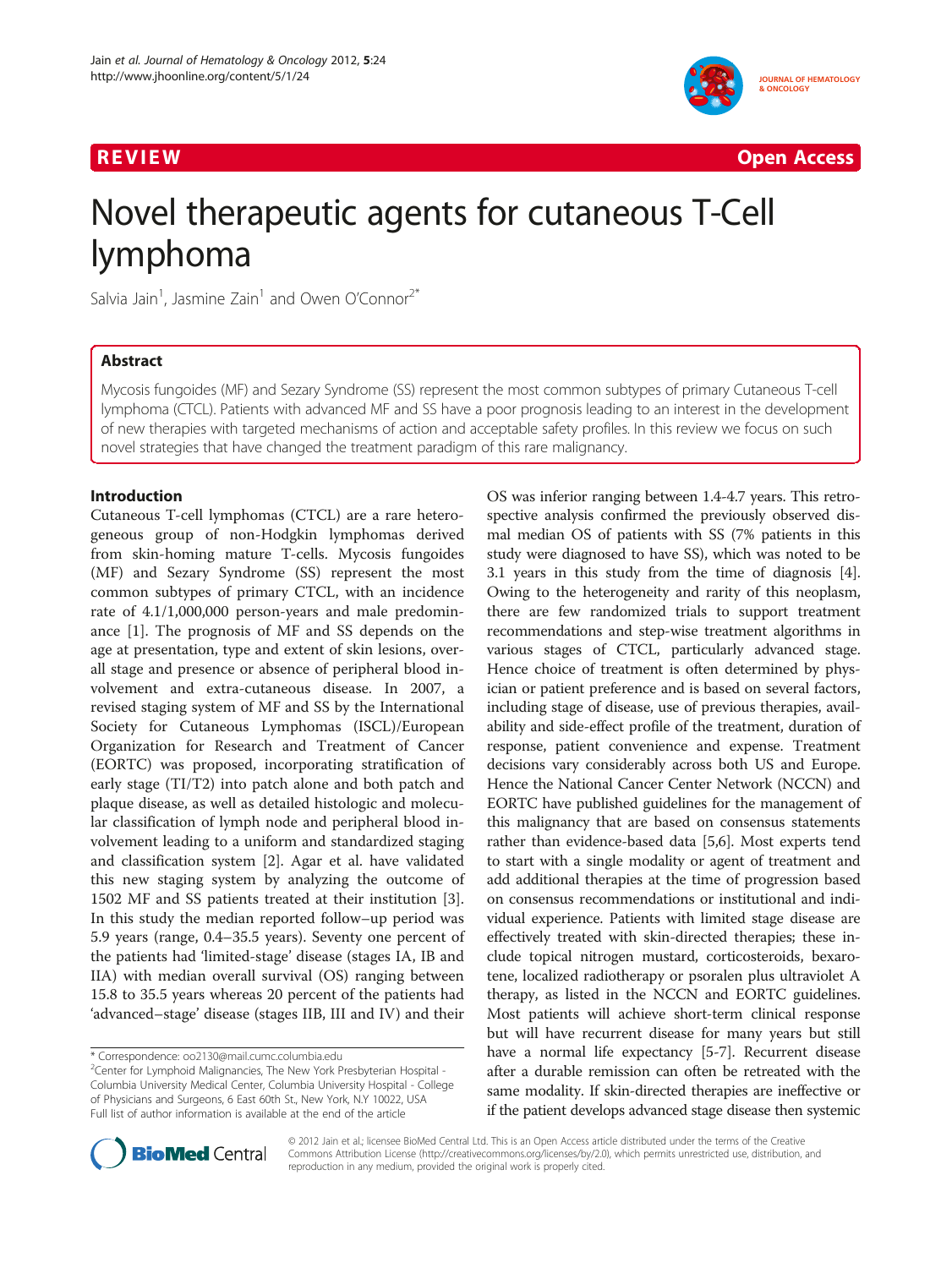

**REVIEW CONTROL** CONTROL CONTROL CONTROL CONTROL CONTROL CONTROL CONTROL CONTROL CONTROL CONTROL CONTROL CONTROL CONTROL CONTROL CONTROL CONTROL CONTROL CONTROL CONTROL CONTROL CONTROL CONTROL CONTROL CONTROL CONTROL CONTR

# Novel therapeutic agents for cutaneous T-Cell lymphoma

Salvia Jain<sup>1</sup>, Jasmine Zain<sup>1</sup> and Owen O'Connor<sup>2\*</sup>

# Abstract

Mycosis fungoides (MF) and Sezary Syndrome (SS) represent the most common subtypes of primary Cutaneous T-cell lymphoma (CTCL). Patients with advanced MF and SS have a poor prognosis leading to an interest in the development of new therapies with targeted mechanisms of action and acceptable safety profiles. In this review we focus on such novel strategies that have changed the treatment paradigm of this rare malignancy.

# Introduction

Cutaneous T-cell lymphomas (CTCL) are a rare heterogeneous group of non-Hodgkin lymphomas derived from skin-homing mature T-cells. Mycosis fungoides (MF) and Sezary Syndrome (SS) represent the most common subtypes of primary CTCL, with an incidence rate of 4.1/1,000,000 person-years and male predominance [[1\]](#page-12-0). The prognosis of MF and SS depends on the age at presentation, type and extent of skin lesions, overall stage and presence or absence of peripheral blood involvement and extra-cutaneous disease. In 2007, a revised staging system of MF and SS by the International Society for Cutaneous Lymphomas (ISCL)/European Organization for Research and Treatment of Cancer (EORTC) was proposed, incorporating stratification of early stage (TI/T2) into patch alone and both patch and plaque disease, as well as detailed histologic and molecular classification of lymph node and peripheral blood involvement leading to a uniform and standardized staging and classification system [\[2](#page-12-0)]. Agar et al. have validated this new staging system by analyzing the outcome of 1502 MF and SS patients treated at their institution [\[3](#page-12-0)]. In this study the median reported follow–up period was 5.9 years (range, 0.4–35.5 years). Seventy one percent of the patients had 'limited-stage' disease (stages IA, IB and IIA) with median overall survival (OS) ranging between 15.8 to 35.5 years whereas 20 percent of the patients had 'advanced–stage' disease (stages IIB, III and IV) and their

\* Correspondence: [oo2130@mail.cumc.columbia.edu](mailto:oo2130@mail.cumc.columbia.edu) <sup>2</sup>

 $2$ Center for Lymphoid Malignancies, The New York Presbyterian Hospital -Columbia University Medical Center, Columbia University Hospital - College of Physicians and Surgeons, 6 East 60th St., New York, N.Y 10022, USA Full list of author information is available at the end of the article

OS was inferior ranging between 1.4-4.7 years. This retrospective analysis confirmed the previously observed dismal median OS of patients with SS (7% patients in this study were diagnosed to have SS), which was noted to be 3.1 years in this study from the time of diagnosis [[4](#page-12-0)]. Owing to the heterogeneity and rarity of this neoplasm, there are few randomized trials to support treatment recommendations and step-wise treatment algorithms in various stages of CTCL, particularly advanced stage. Hence choice of treatment is often determined by physician or patient preference and is based on several factors, including stage of disease, use of previous therapies, availability and side-effect profile of the treatment, duration of response, patient convenience and expense. Treatment decisions vary considerably across both US and Europe. Hence the National Cancer Center Network (NCCN) and EORTC have published guidelines for the management of this malignancy that are based on consensus statements rather than evidence-based data [[5](#page-12-0),[6](#page-12-0)]. Most experts tend to start with a single modality or agent of treatment and add additional therapies at the time of progression based on consensus recommendations or institutional and individual experience. Patients with limited stage disease are effectively treated with skin-directed therapies; these include topical nitrogen mustard, corticosteroids, bexarotene, localized radiotherapy or psoralen plus ultraviolet A therapy, as listed in the NCCN and EORTC guidelines. Most patients will achieve short-term clinical response but will have recurrent disease for many years but still have a normal life expectancy [[5-7](#page-12-0)]. Recurrent disease after a durable remission can often be retreated with the same modality. If skin-directed therapies are ineffective or if the patient develops advanced stage disease then systemic



© 2012 Jain et al.; licensee BioMed Central Ltd. This is an Open Access article distributed under the terms of the Creative Commons Attribution License [\(http://creativecommons.org/licenses/by/2.0\)](http://creativecommons.org/licenses/by/2.0), which permits unrestricted use, distribution, and reproduction in any medium, provided the original work is properly cited.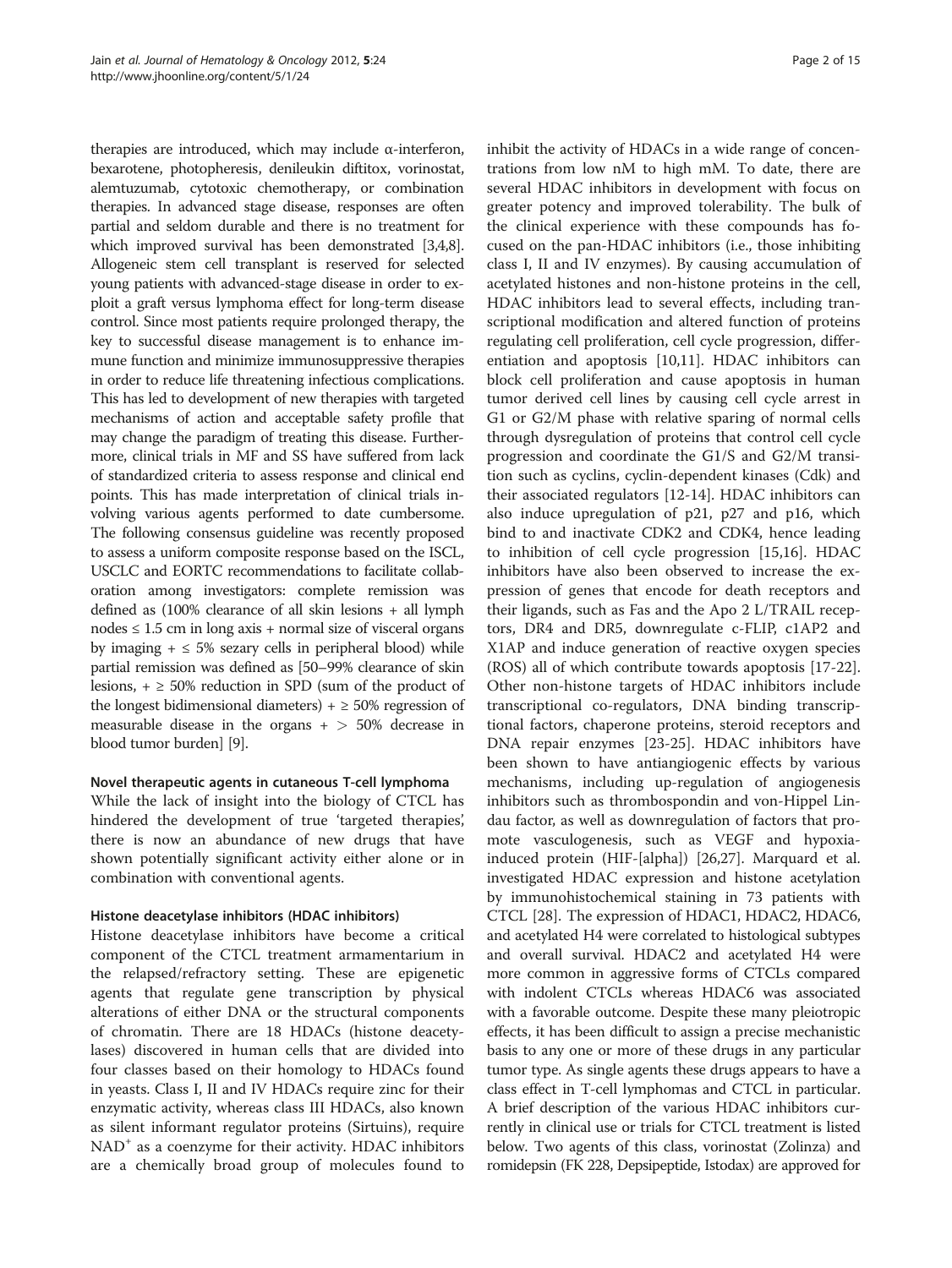therapies are introduced, which may include α-interferon, bexarotene, photopheresis, denileukin diftitox, vorinostat, alemtuzumab, cytotoxic chemotherapy, or combination therapies. In advanced stage disease, responses are often partial and seldom durable and there is no treatment for which improved survival has been demonstrated [\[3,4,8](#page-12-0)]. Allogeneic stem cell transplant is reserved for selected young patients with advanced-stage disease in order to exploit a graft versus lymphoma effect for long-term disease control. Since most patients require prolonged therapy, the key to successful disease management is to enhance immune function and minimize immunosuppressive therapies in order to reduce life threatening infectious complications. This has led to development of new therapies with targeted mechanisms of action and acceptable safety profile that may change the paradigm of treating this disease. Furthermore, clinical trials in MF and SS have suffered from lack of standardized criteria to assess response and clinical end points. This has made interpretation of clinical trials involving various agents performed to date cumbersome. The following consensus guideline was recently proposed to assess a uniform composite response based on the ISCL, USCLC and EORTC recommendations to facilitate collaboration among investigators: complete remission was defined as (100% clearance of all skin lesions + all lymph nodes  $\leq 1.5$  cm in long axis + normal size of visceral organs by imaging  $+ \leq 5\%$  sezary cells in peripheral blood) while partial remission was defined as [50–99% clearance of skin lesions,  $+ \geq 50\%$  reduction in SPD (sum of the product of the longest bidimensional diameters) +  $\geq$  50% regression of measurable disease in the organs  $+$   $>$  50% decrease in blood tumor burden] [[9](#page-12-0)].

## Novel therapeutic agents in cutaneous T-cell lymphoma

While the lack of insight into the biology of CTCL has hindered the development of true 'targeted therapies', there is now an abundance of new drugs that have shown potentially significant activity either alone or in combination with conventional agents.

## Histone deacetylase inhibitors (HDAC inhibitors)

Histone deacetylase inhibitors have become a critical component of the CTCL treatment armamentarium in the relapsed/refractory setting. These are epigenetic agents that regulate gene transcription by physical alterations of either DNA or the structural components of chromatin. There are 18 HDACs (histone deacetylases) discovered in human cells that are divided into four classes based on their homology to HDACs found in yeasts. Class I, II and IV HDACs require zinc for their enzymatic activity, whereas class III HDACs, also known as silent informant regulator proteins (Sirtuins), require NAD<sup>+</sup> as a coenzyme for their activity. HDAC inhibitors are a chemically broad group of molecules found to inhibit the activity of HDACs in a wide range of concentrations from low nM to high mM. To date, there are several HDAC inhibitors in development with focus on greater potency and improved tolerability. The bulk of the clinical experience with these compounds has focused on the pan-HDAC inhibitors (i.e., those inhibiting class I, II and IV enzymes). By causing accumulation of acetylated histones and non-histone proteins in the cell, HDAC inhibitors lead to several effects, including transcriptional modification and altered function of proteins regulating cell proliferation, cell cycle progression, differentiation and apoptosis [[10](#page-12-0),[11](#page-12-0)]. HDAC inhibitors can block cell proliferation and cause apoptosis in human tumor derived cell lines by causing cell cycle arrest in G1 or G2/M phase with relative sparing of normal cells through dysregulation of proteins that control cell cycle progression and coordinate the G1/S and G2/M transition such as cyclins, cyclin-dependent kinases (Cdk) and their associated regulators [[12-14\]](#page-12-0). HDAC inhibitors can also induce upregulation of p21, p27 and p16, which bind to and inactivate CDK2 and CDK4, hence leading to inhibition of cell cycle progression [[15,16\]](#page-12-0). HDAC inhibitors have also been observed to increase the expression of genes that encode for death receptors and their ligands, such as Fas and the Apo 2 L/TRAIL receptors, DR4 and DR5, downregulate c-FLIP, c1AP2 and X1AP and induce generation of reactive oxygen species (ROS) all of which contribute towards apoptosis [\[17-22](#page-12-0)]. Other non-histone targets of HDAC inhibitors include transcriptional co-regulators, DNA binding transcriptional factors, chaperone proteins, steroid receptors and DNA repair enzymes [\[23](#page-12-0)-[25](#page-12-0)]. HDAC inhibitors have been shown to have antiangiogenic effects by various mechanisms, including up-regulation of angiogenesis inhibitors such as thrombospondin and von-Hippel Lindau factor, as well as downregulation of factors that promote vasculogenesis, such as VEGF and hypoxiainduced protein (HIF-[alpha]) [[26,27\]](#page-12-0). Marquard et al. investigated HDAC expression and histone acetylation by immunohistochemical staining in 73 patients with CTCL [\[28](#page-12-0)]. The expression of HDAC1, HDAC2, HDAC6, and acetylated H4 were correlated to histological subtypes and overall survival. HDAC2 and acetylated H4 were more common in aggressive forms of CTCLs compared with indolent CTCLs whereas HDAC6 was associated with a favorable outcome. Despite these many pleiotropic effects, it has been difficult to assign a precise mechanistic basis to any one or more of these drugs in any particular tumor type. As single agents these drugs appears to have a class effect in T-cell lymphomas and CTCL in particular. A brief description of the various HDAC inhibitors currently in clinical use or trials for CTCL treatment is listed below. Two agents of this class, vorinostat (Zolinza) and romidepsin (FK 228, Depsipeptide, Istodax) are approved for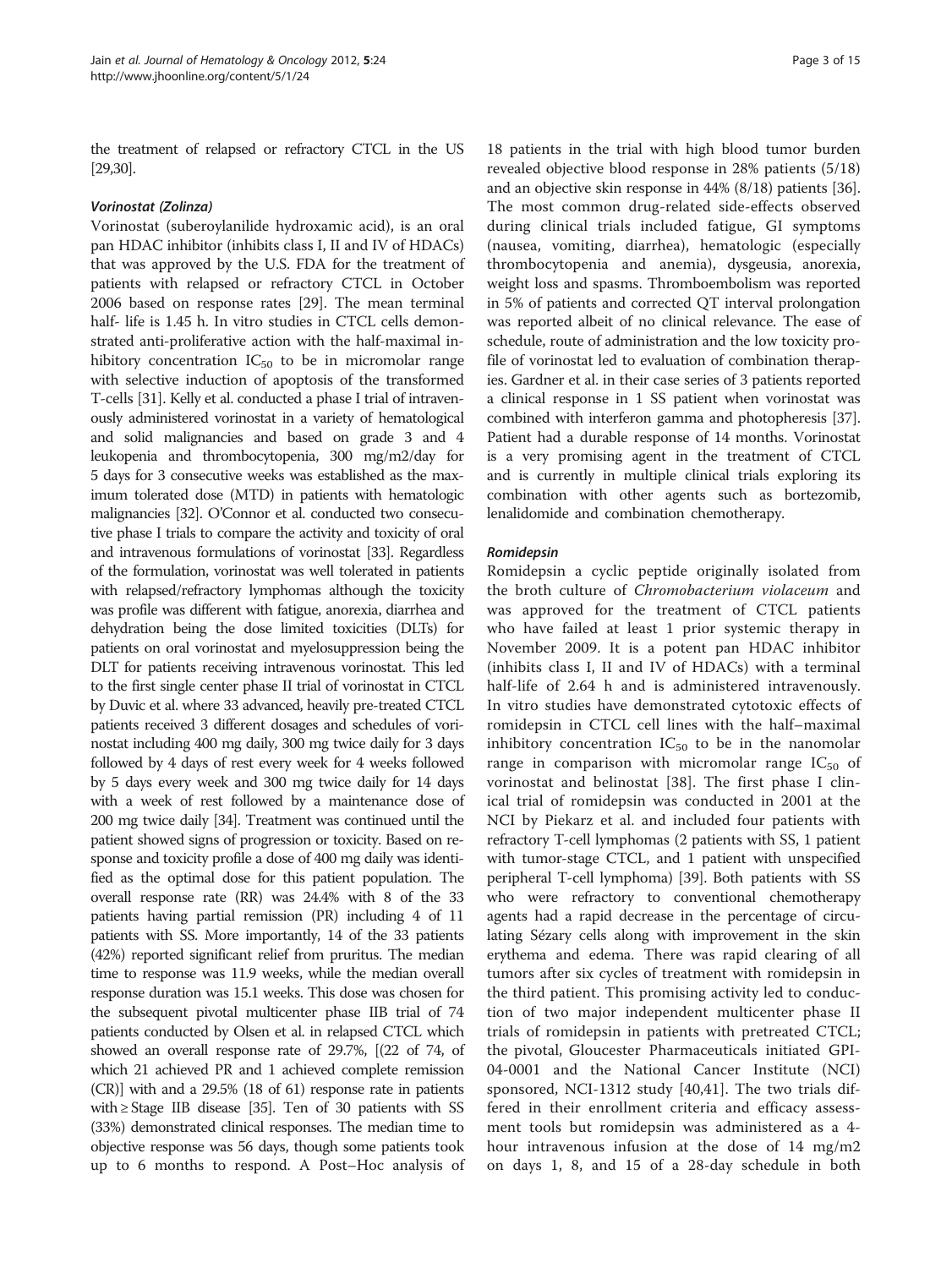the treatment of relapsed or refractory CTCL in the US [[29,30](#page-13-0)].

#### Vorinostat (Zolinza)

Vorinostat (suberoylanilide hydroxamic acid), is an oral pan HDAC inhibitor (inhibits class I, II and IV of HDACs) that was approved by the U.S. FDA for the treatment of patients with relapsed or refractory CTCL in October 2006 based on response rates [[29](#page-13-0)]. The mean terminal half- life is 1.45 h. In vitro studies in CTCL cells demonstrated anti-proliferative action with the half-maximal inhibitory concentration  $IC_{50}$  to be in micromolar range with selective induction of apoptosis of the transformed T-cells [\[31\]](#page-13-0). Kelly et al. conducted a phase I trial of intravenously administered vorinostat in a variety of hematological and solid malignancies and based on grade 3 and 4 leukopenia and thrombocytopenia, 300 mg/m2/day for 5 days for 3 consecutive weeks was established as the maximum tolerated dose (MTD) in patients with hematologic malignancies [[32\]](#page-13-0). O'Connor et al. conducted two consecutive phase I trials to compare the activity and toxicity of oral and intravenous formulations of vorinostat [\[33](#page-13-0)]. Regardless of the formulation, vorinostat was well tolerated in patients with relapsed/refractory lymphomas although the toxicity was profile was different with fatigue, anorexia, diarrhea and dehydration being the dose limited toxicities (DLTs) for patients on oral vorinostat and myelosuppression being the DLT for patients receiving intravenous vorinostat. This led to the first single center phase II trial of vorinostat in CTCL by Duvic et al. where 33 advanced, heavily pre-treated CTCL patients received 3 different dosages and schedules of vorinostat including 400 mg daily, 300 mg twice daily for 3 days followed by 4 days of rest every week for 4 weeks followed by 5 days every week and 300 mg twice daily for 14 days with a week of rest followed by a maintenance dose of 200 mg twice daily [\[34\]](#page-13-0). Treatment was continued until the patient showed signs of progression or toxicity. Based on response and toxicity profile a dose of 400 mg daily was identified as the optimal dose for this patient population. The overall response rate (RR) was 24.4% with 8 of the 33 patients having partial remission (PR) including 4 of 11 patients with SS. More importantly, 14 of the 33 patients (42%) reported significant relief from pruritus. The median time to response was 11.9 weeks, while the median overall response duration was 15.1 weeks. This dose was chosen for the subsequent pivotal multicenter phase IIB trial of 74 patients conducted by Olsen et al. in relapsed CTCL which showed an overall response rate of 29.7%, [(22 of 74, of which 21 achieved PR and 1 achieved complete remission (CR)] with and a 29.5% (18 of 61) response rate in patients with ≥ Stage IIB disease [\[35\]](#page-13-0). Ten of 30 patients with SS (33%) demonstrated clinical responses. The median time to objective response was 56 days, though some patients took up to 6 months to respond. A Post–Hoc analysis of

18 patients in the trial with high blood tumor burden revealed objective blood response in 28% patients (5/18) and an objective skin response in 44% (8/18) patients [[36](#page-13-0)]. The most common drug-related side-effects observed during clinical trials included fatigue, GI symptoms (nausea, vomiting, diarrhea), hematologic (especially thrombocytopenia and anemia), dysgeusia, anorexia, weight loss and spasms. Thromboembolism was reported in 5% of patients and corrected QT interval prolongation was reported albeit of no clinical relevance. The ease of schedule, route of administration and the low toxicity profile of vorinostat led to evaluation of combination therapies. Gardner et al. in their case series of 3 patients reported a clinical response in 1 SS patient when vorinostat was combined with interferon gamma and photopheresis [[37](#page-13-0)]. Patient had a durable response of 14 months. Vorinostat is a very promising agent in the treatment of CTCL and is currently in multiple clinical trials exploring its combination with other agents such as bortezomib, lenalidomide and combination chemotherapy.

# Romidepsin

Romidepsin a cyclic peptide originally isolated from the broth culture of Chromobacterium violaceum and was approved for the treatment of CTCL patients who have failed at least 1 prior systemic therapy in November 2009. It is a potent pan HDAC inhibitor (inhibits class I, II and IV of HDACs) with a terminal half-life of 2.64 h and is administered intravenously. In vitro studies have demonstrated cytotoxic effects of romidepsin in CTCL cell lines with the half–maximal inhibitory concentration  $IC_{50}$  to be in the nanomolar range in comparison with micromolar range  $IC_{50}$  of vorinostat and belinostat [[38](#page-13-0)]. The first phase I clinical trial of romidepsin was conducted in 2001 at the NCI by Piekarz et al. and included four patients with refractory T-cell lymphomas (2 patients with SS, 1 patient with tumor-stage CTCL, and 1 patient with unspecified peripheral T-cell lymphoma) [[39](#page-13-0)]. Both patients with SS who were refractory to conventional chemotherapy agents had a rapid decrease in the percentage of circulating Sézary cells along with improvement in the skin erythema and edema. There was rapid clearing of all tumors after six cycles of treatment with romidepsin in the third patient. This promising activity led to conduction of two major independent multicenter phase II trials of romidepsin in patients with pretreated CTCL; the pivotal, Gloucester Pharmaceuticals initiated GPI-04-0001 and the National Cancer Institute (NCI) sponsored, NCI-1312 study [\[40,41](#page-13-0)]. The two trials differed in their enrollment criteria and efficacy assessment tools but romidepsin was administered as a 4 hour intravenous infusion at the dose of 14 mg/m2 on days 1, 8, and 15 of a 28-day schedule in both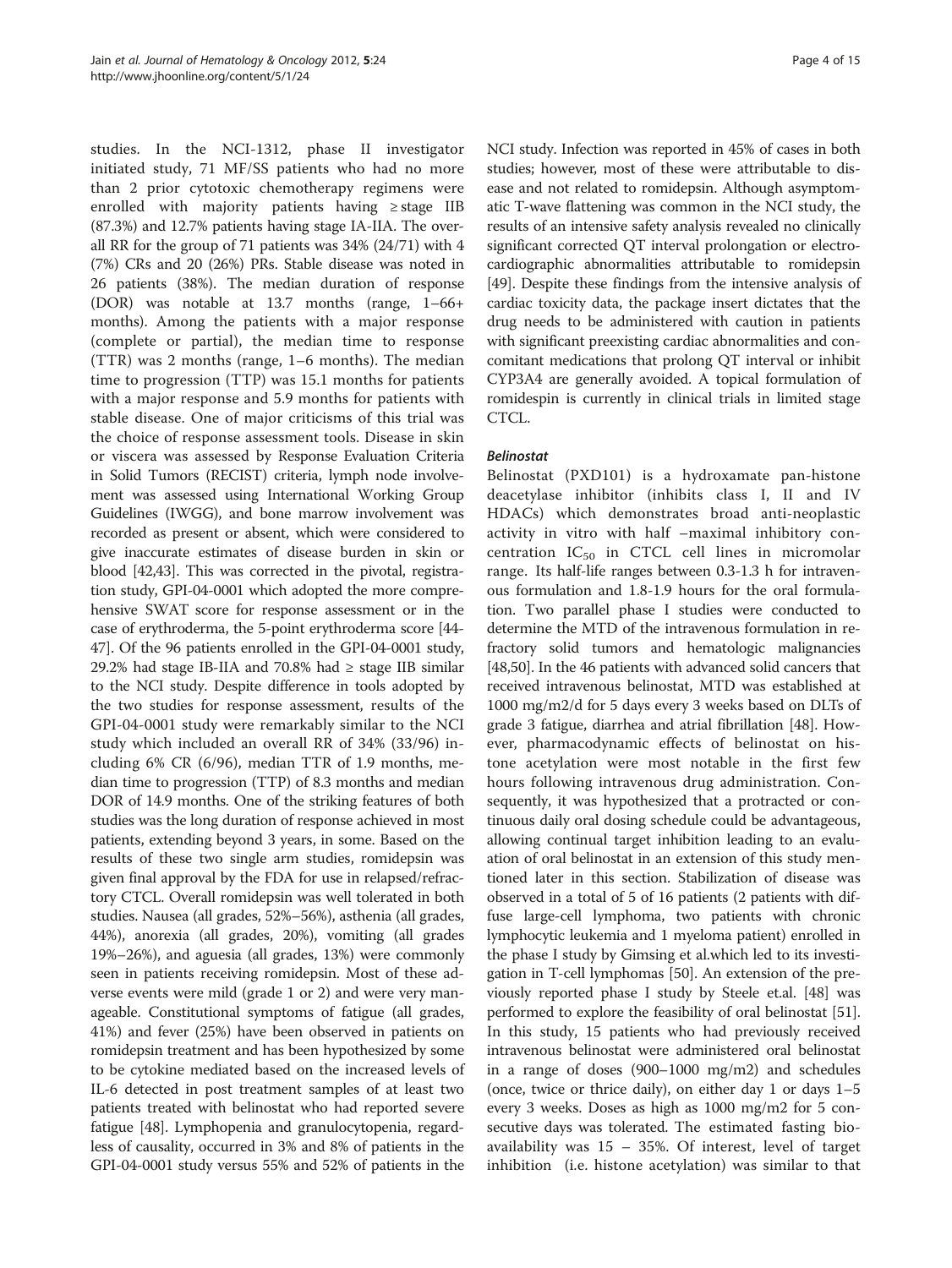studies. In the NCI-1312, phase II investigator initiated study, 71 MF/SS patients who had no more than 2 prior cytotoxic chemotherapy regimens were enrolled with majority patients having ≥ stage IIB (87.3%) and 12.7% patients having stage IA-IIA. The overall RR for the group of 71 patients was 34% (24/71) with 4 (7%) CRs and 20 (26%) PRs. Stable disease was noted in 26 patients (38%). The median duration of response (DOR) was notable at 13.7 months (range, 1–66+ months). Among the patients with a major response (complete or partial), the median time to response (TTR) was 2 months (range, 1–6 months). The median time to progression (TTP) was 15.1 months for patients with a major response and 5.9 months for patients with stable disease. One of major criticisms of this trial was the choice of response assessment tools. Disease in skin or viscera was assessed by Response Evaluation Criteria in Solid Tumors (RECIST) criteria, lymph node involvement was assessed using International Working Group Guidelines (IWGG), and bone marrow involvement was recorded as present or absent, which were considered to give inaccurate estimates of disease burden in skin or blood [\[42,43](#page-13-0)]. This was corrected in the pivotal, registration study, GPI-04-0001 which adopted the more comprehensive SWAT score for response assessment or in the case of erythroderma, the 5-point erythroderma score [\[44-](#page-13-0) [47](#page-13-0)]. Of the 96 patients enrolled in the GPI-04-0001 study, 29.2% had stage IB-IIA and 70.8% had  $\geq$  stage IIB similar to the NCI study. Despite difference in tools adopted by the two studies for response assessment, results of the GPI-04-0001 study were remarkably similar to the NCI study which included an overall RR of 34% (33/96) including 6% CR (6/96), median TTR of 1.9 months, median time to progression (TTP) of 8.3 months and median DOR of 14.9 months. One of the striking features of both studies was the long duration of response achieved in most patients, extending beyond 3 years, in some. Based on the results of these two single arm studies, romidepsin was given final approval by the FDA for use in relapsed/refractory CTCL. Overall romidepsin was well tolerated in both studies. Nausea (all grades, 52%–56%), asthenia (all grades, 44%), anorexia (all grades, 20%), vomiting (all grades 19%–26%), and aguesia (all grades, 13%) were commonly seen in patients receiving romidepsin. Most of these adverse events were mild (grade 1 or 2) and were very manageable. Constitutional symptoms of fatigue (all grades, 41%) and fever (25%) have been observed in patients on romidepsin treatment and has been hypothesized by some to be cytokine mediated based on the increased levels of IL-6 detected in post treatment samples of at least two patients treated with belinostat who had reported severe fatigue [\[48](#page-13-0)]. Lymphopenia and granulocytopenia, regardless of causality, occurred in 3% and 8% of patients in the GPI-04-0001 study versus 55% and 52% of patients in the

NCI study. Infection was reported in 45% of cases in both studies; however, most of these were attributable to disease and not related to romidepsin. Although asymptomatic T-wave flattening was common in the NCI study, the results of an intensive safety analysis revealed no clinically significant corrected QT interval prolongation or electrocardiographic abnormalities attributable to romidepsin [[49](#page-13-0)]. Despite these findings from the intensive analysis of cardiac toxicity data, the package insert dictates that the drug needs to be administered with caution in patients with significant preexisting cardiac abnormalities and concomitant medications that prolong QT interval or inhibit CYP3A4 are generally avoided. A topical formulation of romidespin is currently in clinical trials in limited stage CTCL.

#### Belinostat

Belinostat (PXD101) is a hydroxamate pan-histone deacetylase inhibitor (inhibits class I, II and IV HDACs) which demonstrates broad anti-neoplastic activity in vitro with half –maximal inhibitory concentration  $IC_{50}$  in CTCL cell lines in micromolar range. Its half-life ranges between 0.3-1.3 h for intravenous formulation and 1.8-1.9 hours for the oral formulation. Two parallel phase I studies were conducted to determine the MTD of the intravenous formulation in refractory solid tumors and hematologic malignancies [[48](#page-13-0),[50](#page-13-0)]. In the 46 patients with advanced solid cancers that received intravenous belinostat, MTD was established at 1000 mg/m2/d for 5 days every 3 weeks based on DLTs of grade 3 fatigue, diarrhea and atrial fibrillation [\[48\]](#page-13-0). However, pharmacodynamic effects of belinostat on histone acetylation were most notable in the first few hours following intravenous drug administration. Consequently, it was hypothesized that a protracted or continuous daily oral dosing schedule could be advantageous, allowing continual target inhibition leading to an evaluation of oral belinostat in an extension of this study mentioned later in this section. Stabilization of disease was observed in a total of 5 of 16 patients (2 patients with diffuse large-cell lymphoma, two patients with chronic lymphocytic leukemia and 1 myeloma patient) enrolled in the phase I study by Gimsing et al.which led to its investigation in T-cell lymphomas [[50](#page-13-0)]. An extension of the previously reported phase I study by Steele et.al. [\[48\]](#page-13-0) was performed to explore the feasibility of oral belinostat [[51](#page-13-0)]. In this study, 15 patients who had previously received intravenous belinostat were administered oral belinostat in a range of doses (900–1000 mg/m2) and schedules (once, twice or thrice daily), on either day 1 or days 1–5 every 3 weeks. Doses as high as 1000 mg/m2 for 5 consecutive days was tolerated. The estimated fasting bioavailability was 15 – 35%. Of interest, level of target inhibition (i.e. histone acetylation) was similar to that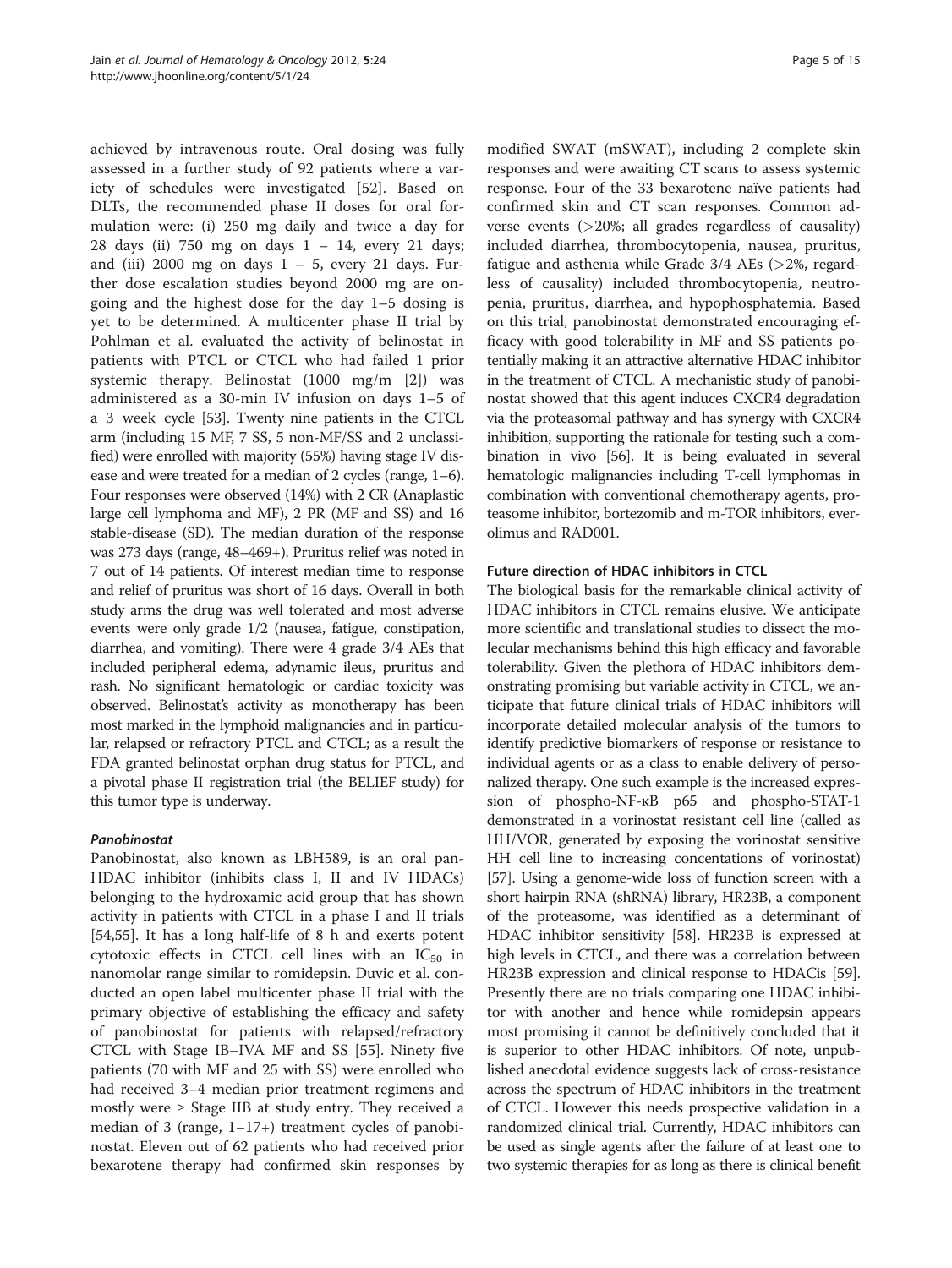achieved by intravenous route. Oral dosing was fully assessed in a further study of 92 patients where a variety of schedules were investigated [\[52](#page-13-0)]. Based on DLTs, the recommended phase II doses for oral formulation were: (i) 250 mg daily and twice a day for 28 days (ii) 750 mg on days 1 – 14, every 21 days; and (iii) 2000 mg on days  $1 - 5$ , every 21 days. Further dose escalation studies beyond 2000 mg are ongoing and the highest dose for the day 1–5 dosing is yet to be determined. A multicenter phase II trial by Pohlman et al. evaluated the activity of belinostat in patients with PTCL or CTCL who had failed 1 prior systemic therapy. Belinostat (1000 mg/m [\[2](#page-12-0)]) was administered as a 30-min IV infusion on days 1–5 of a 3 week cycle [\[53\]](#page-13-0). Twenty nine patients in the CTCL arm (including 15 MF, 7 SS, 5 non-MF/SS and 2 unclassified) were enrolled with majority (55%) having stage IV disease and were treated for a median of 2 cycles (range, 1–6). Four responses were observed (14%) with 2 CR (Anaplastic large cell lymphoma and MF), 2 PR (MF and SS) and 16 stable-disease (SD). The median duration of the response was 273 days (range, 48–469+). Pruritus relief was noted in 7 out of 14 patients. Of interest median time to response and relief of pruritus was short of 16 days. Overall in both study arms the drug was well tolerated and most adverse events were only grade 1/2 (nausea, fatigue, constipation, diarrhea, and vomiting). There were 4 grade 3/4 AEs that included peripheral edema, adynamic ileus, pruritus and rash. No significant hematologic or cardiac toxicity was observed. Belinostat's activity as monotherapy has been most marked in the lymphoid malignancies and in particular, relapsed or refractory PTCL and CTCL; as a result the FDA granted belinostat orphan drug status for PTCL, and a pivotal phase II registration trial (the BELIEF study) for this tumor type is underway.

## Panobinostat

Panobinostat, also known as LBH589, is an oral pan-HDAC inhibitor (inhibits class I, II and IV HDACs) belonging to the hydroxamic acid group that has shown activity in patients with CTCL in a phase I and II trials [[54,55\]](#page-13-0). It has a long half-life of 8 h and exerts potent cytotoxic effects in CTCL cell lines with an  $IC_{50}$  in nanomolar range similar to romidepsin. Duvic et al. conducted an open label multicenter phase II trial with the primary objective of establishing the efficacy and safety of panobinostat for patients with relapsed/refractory CTCL with Stage IB–IVA MF and SS [\[55\]](#page-13-0). Ninety five patients (70 with MF and 25 with SS) were enrolled who had received 3–4 median prior treatment regimens and mostly were  $\geq$  Stage IIB at study entry. They received a median of 3 (range,  $1-17+$ ) treatment cycles of panobinostat. Eleven out of 62 patients who had received prior bexarotene therapy had confirmed skin responses by

modified SWAT (mSWAT), including 2 complete skin responses and were awaiting CT scans to assess systemic response. Four of the 33 bexarotene naïve patients had confirmed skin and CT scan responses. Common adverse events  $(>20\%;$  all grades regardless of causality) included diarrhea, thrombocytopenia, nausea, pruritus, fatigue and asthenia while Grade  $3/4$  AEs ( $>2\%$ , regardless of causality) included thrombocytopenia, neutropenia, pruritus, diarrhea, and hypophosphatemia. Based on this trial, panobinostat demonstrated encouraging efficacy with good tolerability in MF and SS patients potentially making it an attractive alternative HDAC inhibitor in the treatment of CTCL. A mechanistic study of panobinostat showed that this agent induces CXCR4 degradation via the proteasomal pathway and has synergy with CXCR4 inhibition, supporting the rationale for testing such a combination in vivo [\[56\]](#page-13-0). It is being evaluated in several hematologic malignancies including T-cell lymphomas in combination with conventional chemotherapy agents, proteasome inhibitor, bortezomib and m-TOR inhibitors, everolimus and RAD001.

#### Future direction of HDAC inhibitors in CTCL

The biological basis for the remarkable clinical activity of HDAC inhibitors in CTCL remains elusive. We anticipate more scientific and translational studies to dissect the molecular mechanisms behind this high efficacy and favorable tolerability. Given the plethora of HDAC inhibitors demonstrating promising but variable activity in CTCL, we anticipate that future clinical trials of HDAC inhibitors will incorporate detailed molecular analysis of the tumors to identify predictive biomarkers of response or resistance to individual agents or as a class to enable delivery of personalized therapy. One such example is the increased expression of phospho-NF-ĸB p65 and phospho-STAT-1 demonstrated in a vorinostat resistant cell line (called as HH/VOR, generated by exposing the vorinostat sensitive HH cell line to increasing concentations of vorinostat) [[57](#page-13-0)]. Using a genome-wide loss of function screen with a short hairpin RNA (shRNA) library, HR23B, a component of the proteasome, was identified as a determinant of HDAC inhibitor sensitivity [\[58](#page-13-0)]. HR23B is expressed at high levels in CTCL, and there was a correlation between HR23B expression and clinical response to HDACis [[59](#page-13-0)]. Presently there are no trials comparing one HDAC inhibitor with another and hence while romidepsin appears most promising it cannot be definitively concluded that it is superior to other HDAC inhibitors. Of note, unpublished anecdotal evidence suggests lack of cross-resistance across the spectrum of HDAC inhibitors in the treatment of CTCL. However this needs prospective validation in a randomized clinical trial. Currently, HDAC inhibitors can be used as single agents after the failure of at least one to two systemic therapies for as long as there is clinical benefit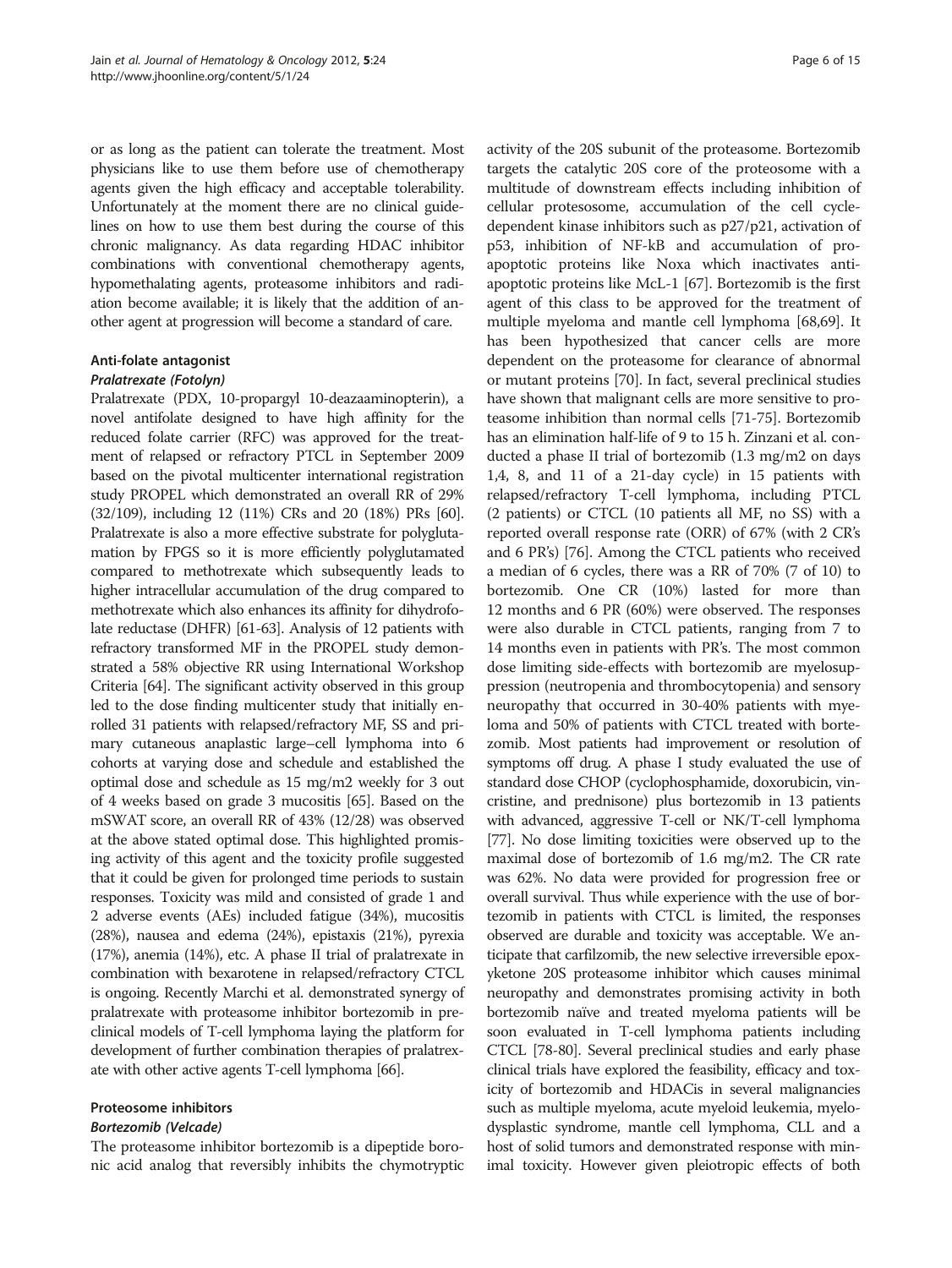or as long as the patient can tolerate the treatment. Most physicians like to use them before use of chemotherapy agents given the high efficacy and acceptable tolerability. Unfortunately at the moment there are no clinical guidelines on how to use them best during the course of this chronic malignancy. As data regarding HDAC inhibitor combinations with conventional chemotherapy agents, hypomethalating agents, proteasome inhibitors and radiation become available; it is likely that the addition of another agent at progression will become a standard of care.

# Anti-folate antagonist

#### Pralatrexate (Fotolyn)

Pralatrexate (PDX, 10-propargyl 10-deazaaminopterin), a novel antifolate designed to have high affinity for the reduced folate carrier (RFC) was approved for the treatment of relapsed or refractory PTCL in September 2009 based on the pivotal multicenter international registration study PROPEL which demonstrated an overall RR of 29% (32/109), including 12 (11%) CRs and 20 (18%) PRs [\[60](#page-13-0)]. Pralatrexate is also a more effective substrate for polyglutamation by FPGS so it is more efficiently polyglutamated compared to methotrexate which subsequently leads to higher intracellular accumulation of the drug compared to methotrexate which also enhances its affinity for dihydrofolate reductase (DHFR) [[61](#page-13-0)-[63\]](#page-13-0). Analysis of 12 patients with refractory transformed MF in the PROPEL study demonstrated a 58% objective RR using International Workshop Criteria [\[64\]](#page-13-0). The significant activity observed in this group led to the dose finding multicenter study that initially enrolled 31 patients with relapsed/refractory MF, SS and primary cutaneous anaplastic large–cell lymphoma into 6 cohorts at varying dose and schedule and established the optimal dose and schedule as 15 mg/m2 weekly for 3 out of 4 weeks based on grade 3 mucositis [[65](#page-13-0)]. Based on the mSWAT score, an overall RR of 43% (12/28) was observed at the above stated optimal dose. This highlighted promising activity of this agent and the toxicity profile suggested that it could be given for prolonged time periods to sustain responses. Toxicity was mild and consisted of grade 1 and 2 adverse events (AEs) included fatigue (34%), mucositis (28%), nausea and edema (24%), epistaxis (21%), pyrexia (17%), anemia (14%), etc. A phase II trial of pralatrexate in combination with bexarotene in relapsed/refractory CTCL is ongoing. Recently Marchi et al. demonstrated synergy of pralatrexate with proteasome inhibitor bortezomib in preclinical models of T-cell lymphoma laying the platform for development of further combination therapies of pralatrexate with other active agents T-cell lymphoma [\[66\]](#page-13-0).

# Proteosome inhibitors

# Bortezomib (Velcade)

The proteasome inhibitor bortezomib is a dipeptide boronic acid analog that reversibly inhibits the chymotryptic

activity of the 20S subunit of the proteasome. Bortezomib targets the catalytic 20S core of the proteosome with a multitude of downstream effects including inhibition of cellular protesosome, accumulation of the cell cycledependent kinase inhibitors such as p27/p21, activation of p53, inhibition of NF-kB and accumulation of proapoptotic proteins like Noxa which inactivates antiapoptotic proteins like McL-1 [\[67\]](#page-13-0). Bortezomib is the first agent of this class to be approved for the treatment of multiple myeloma and mantle cell lymphoma [[68,69\]](#page-13-0). It has been hypothesized that cancer cells are more dependent on the proteasome for clearance of abnormal or mutant proteins [\[70\]](#page-13-0). In fact, several preclinical studies have shown that malignant cells are more sensitive to proteasome inhibition than normal cells [[71](#page-13-0)-[75](#page-14-0)]. Bortezomib has an elimination half-life of 9 to 15 h. Zinzani et al. conducted a phase II trial of bortezomib (1.3 mg/m2 on days 1,4, 8, and 11 of a 21-day cycle) in 15 patients with relapsed/refractory T-cell lymphoma, including PTCL (2 patients) or CTCL (10 patients all MF, no SS) with a reported overall response rate (ORR) of 67% (with 2 CR's and 6 PR's) [\[76\]](#page-14-0). Among the CTCL patients who received a median of 6 cycles, there was a RR of 70% (7 of 10) to bortezomib. One CR (10%) lasted for more than 12 months and 6 PR (60%) were observed. The responses were also durable in CTCL patients, ranging from 7 to 14 months even in patients with PR's. The most common dose limiting side-effects with bortezomib are myelosuppression (neutropenia and thrombocytopenia) and sensory neuropathy that occurred in 30-40% patients with myeloma and 50% of patients with CTCL treated with bortezomib. Most patients had improvement or resolution of symptoms off drug. A phase I study evaluated the use of standard dose CHOP (cyclophosphamide, doxorubicin, vincristine, and prednisone) plus bortezomib in 13 patients with advanced, aggressive T-cell or NK/T-cell lymphoma [[77](#page-14-0)]. No dose limiting toxicities were observed up to the maximal dose of bortezomib of 1.6 mg/m2. The CR rate was 62%. No data were provided for progression free or overall survival. Thus while experience with the use of bortezomib in patients with CTCL is limited, the responses observed are durable and toxicity was acceptable. We anticipate that carfilzomib, the new selective irreversible epoxyketone 20S proteasome inhibitor which causes minimal neuropathy and demonstrates promising activity in both bortezomib naïve and treated myeloma patients will be soon evaluated in T-cell lymphoma patients including CTCL [\[78-80\]](#page-14-0). Several preclinical studies and early phase clinical trials have explored the feasibility, efficacy and toxicity of bortezomib and HDACis in several malignancies such as multiple myeloma, acute myeloid leukemia, myelodysplastic syndrome, mantle cell lymphoma, CLL and a host of solid tumors and demonstrated response with minimal toxicity. However given pleiotropic effects of both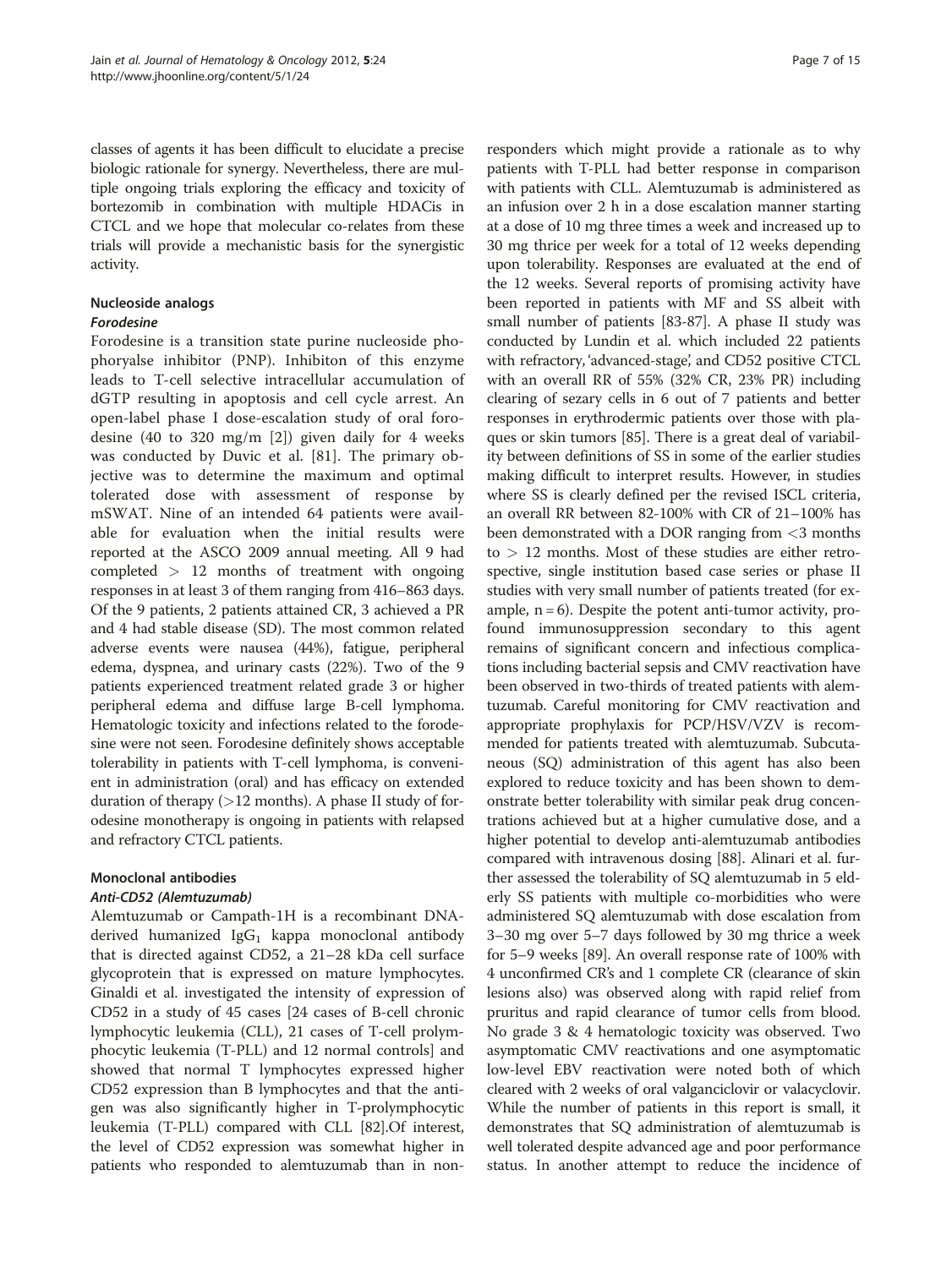classes of agents it has been difficult to elucidate a precise biologic rationale for synergy. Nevertheless, there are multiple ongoing trials exploring the efficacy and toxicity of bortezomib in combination with multiple HDACis in CTCL and we hope that molecular co-relates from these trials will provide a mechanistic basis for the synergistic activity.

# Nucleoside analogs

## Forodesine

Forodesine is a transition state purine nucleoside phophoryalse inhibitor (PNP). Inhibiton of this enzyme leads to T-cell selective intracellular accumulation of dGTP resulting in apoptosis and cell cycle arrest. An open-label phase I dose-escalation study of oral forodesine (40 to 320 mg/m [[2\]](#page-12-0)) given daily for 4 weeks was conducted by Duvic et al. [[81\]](#page-14-0). The primary objective was to determine the maximum and optimal tolerated dose with assessment of response by mSWAT. Nine of an intended 64 patients were available for evaluation when the initial results were reported at the ASCO 2009 annual meeting. All 9 had completed > 12 months of treatment with ongoing responses in at least 3 of them ranging from 416–863 days. Of the 9 patients, 2 patients attained CR, 3 achieved a PR and 4 had stable disease (SD). The most common related adverse events were nausea (44%), fatigue, peripheral edema, dyspnea, and urinary casts (22%). Two of the 9 patients experienced treatment related grade 3 or higher peripheral edema and diffuse large B-cell lymphoma. Hematologic toxicity and infections related to the forodesine were not seen. Forodesine definitely shows acceptable tolerability in patients with T-cell lymphoma, is convenient in administration (oral) and has efficacy on extended duration of therapy  $(>12$  months). A phase II study of forodesine monotherapy is ongoing in patients with relapsed and refractory CTCL patients.

# Monoclonal antibodies

## Anti-CD52 (Alemtuzumab)

Alemtuzumab or Campath-1H is a recombinant DNAderived humanized  $IgG_1$  kappa monoclonal antibody that is directed against CD52, a 21–28 kDa cell surface glycoprotein that is expressed on mature lymphocytes. Ginaldi et al. investigated the intensity of expression of CD52 in a study of 45 cases [24 cases of B-cell chronic lymphocytic leukemia (CLL), 21 cases of T-cell prolymphocytic leukemia (T-PLL) and 12 normal controls] and showed that normal T lymphocytes expressed higher CD52 expression than B lymphocytes and that the antigen was also significantly higher in T-prolymphocytic leukemia (T-PLL) compared with CLL [\[82\]](#page-14-0).Of interest, the level of CD52 expression was somewhat higher in patients who responded to alemtuzumab than in non-

responders which might provide a rationale as to why patients with T-PLL had better response in comparison with patients with CLL. Alemtuzumab is administered as an infusion over 2 h in a dose escalation manner starting at a dose of 10 mg three times a week and increased up to 30 mg thrice per week for a total of 12 weeks depending upon tolerability. Responses are evaluated at the end of the 12 weeks. Several reports of promising activity have been reported in patients with MF and SS albeit with small number of patients [[83-87\]](#page-14-0). A phase II study was conducted by Lundin et al. which included 22 patients with refractory, 'advanced-stage', and CD52 positive CTCL with an overall RR of 55% (32% CR, 23% PR) including clearing of sezary cells in 6 out of 7 patients and better responses in erythrodermic patients over those with plaques or skin tumors [[85](#page-14-0)]. There is a great deal of variability between definitions of SS in some of the earlier studies making difficult to interpret results. However, in studies where SS is clearly defined per the revised ISCL criteria, an overall RR between 82-100% with CR of 21–100% has been demonstrated with a DOR ranging from <3 months  $to$   $>$  12 months. Most of these studies are either retrospective, single institution based case series or phase II studies with very small number of patients treated (for example,  $n = 6$ ). Despite the potent anti-tumor activity, profound immunosuppression secondary to this agent remains of significant concern and infectious complications including bacterial sepsis and CMV reactivation have been observed in two-thirds of treated patients with alemtuzumab. Careful monitoring for CMV reactivation and appropriate prophylaxis for PCP/HSV/VZV is recommended for patients treated with alemtuzumab. Subcutaneous (SQ) administration of this agent has also been explored to reduce toxicity and has been shown to demonstrate better tolerability with similar peak drug concentrations achieved but at a higher cumulative dose, and a higher potential to develop anti-alemtuzumab antibodies compared with intravenous dosing [[88](#page-14-0)]. Alinari et al. further assessed the tolerability of SQ alemtuzumab in 5 elderly SS patients with multiple co-morbidities who were administered SQ alemtuzumab with dose escalation from 3–30 mg over 5–7 days followed by 30 mg thrice a week for 5–9 weeks [\[89](#page-14-0)]. An overall response rate of 100% with 4 unconfirmed CR's and 1 complete CR (clearance of skin lesions also) was observed along with rapid relief from pruritus and rapid clearance of tumor cells from blood. No grade 3 & 4 hematologic toxicity was observed. Two asymptomatic CMV reactivations and one asymptomatic low-level EBV reactivation were noted both of which cleared with 2 weeks of oral valganciclovir or valacyclovir. While the number of patients in this report is small, it demonstrates that SQ administration of alemtuzumab is well tolerated despite advanced age and poor performance status. In another attempt to reduce the incidence of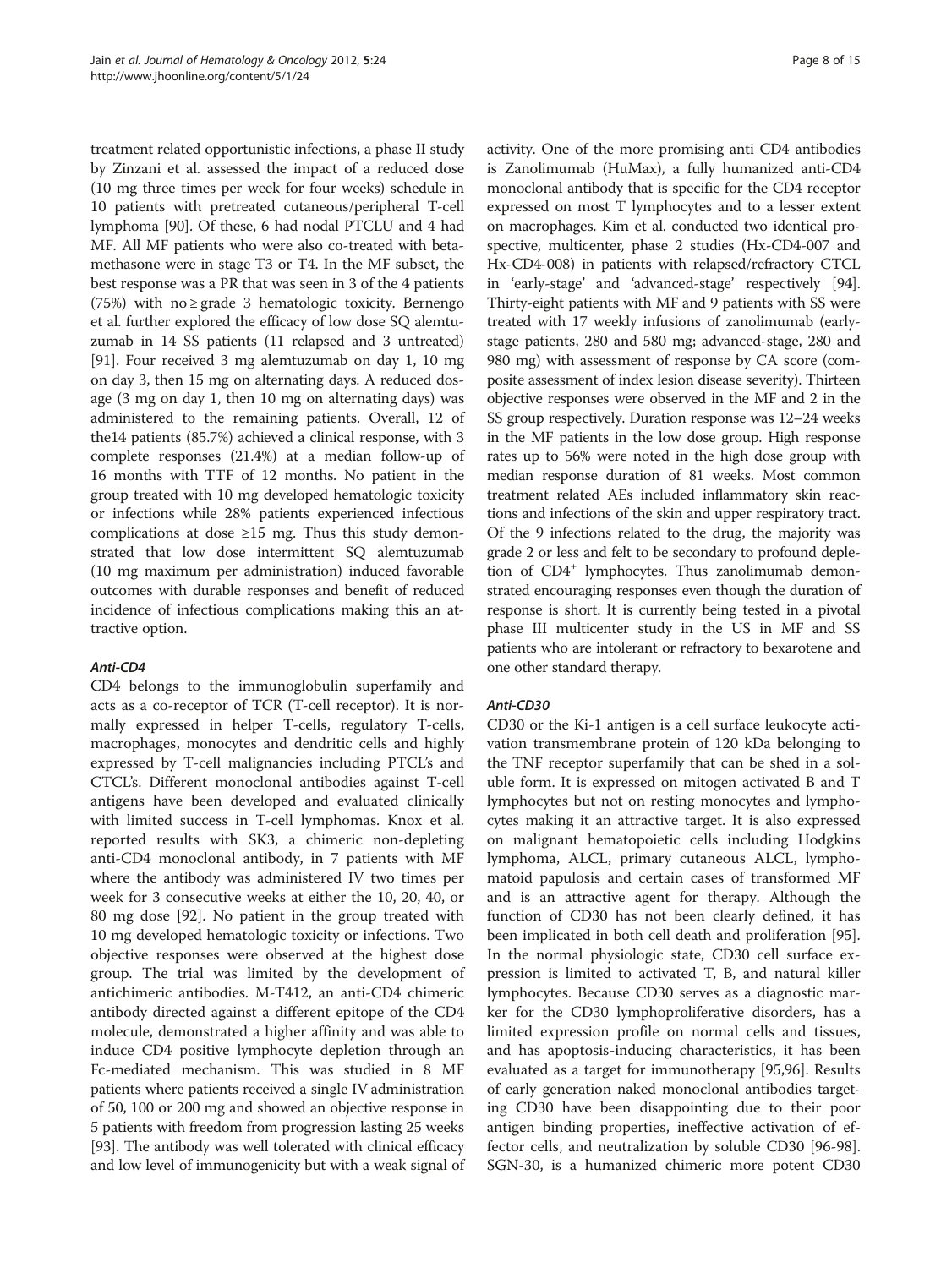treatment related opportunistic infections, a phase II study by Zinzani et al. assessed the impact of a reduced dose (10 mg three times per week for four weeks) schedule in 10 patients with pretreated cutaneous/peripheral T-cell lymphoma [[90](#page-14-0)]. Of these, 6 had nodal PTCLU and 4 had MF. All MF patients who were also co-treated with betamethasone were in stage T3 or T4. In the MF subset, the best response was a PR that was seen in 3 of the 4 patients (75%) with  $no \geq grad$ e 3 hematologic toxicity. Bernengo et al. further explored the efficacy of low dose SQ alemtuzumab in 14 SS patients (11 relapsed and 3 untreated) [[91](#page-14-0)]. Four received 3 mg alemtuzumab on day 1, 10 mg on day 3, then 15 mg on alternating days. A reduced dosage (3 mg on day 1, then 10 mg on alternating days) was administered to the remaining patients. Overall, 12 of the14 patients (85.7%) achieved a clinical response, with 3 complete responses (21.4%) at a median follow-up of 16 months with TTF of 12 months. No patient in the group treated with 10 mg developed hematologic toxicity or infections while 28% patients experienced infectious complications at dose ≥15 mg. Thus this study demonstrated that low dose intermittent SQ alemtuzumab (10 mg maximum per administration) induced favorable outcomes with durable responses and benefit of reduced incidence of infectious complications making this an attractive option.

## Anti-CD4

CD4 belongs to the immunoglobulin superfamily and acts as a co-receptor of TCR (T-cell receptor). It is normally expressed in helper T-cells, regulatory T-cells, macrophages, monocytes and dendritic cells and highly expressed by T-cell malignancies including PTCL's and CTCL's. Different monoclonal antibodies against T-cell antigens have been developed and evaluated clinically with limited success in T-cell lymphomas. Knox et al. reported results with SK3, a chimeric non-depleting anti-CD4 monoclonal antibody, in 7 patients with MF where the antibody was administered IV two times per week for 3 consecutive weeks at either the 10, 20, 40, or 80 mg dose [[92\]](#page-14-0). No patient in the group treated with 10 mg developed hematologic toxicity or infections. Two objective responses were observed at the highest dose group. The trial was limited by the development of antichimeric antibodies. M-T412, an anti-CD4 chimeric antibody directed against a different epitope of the CD4 molecule, demonstrated a higher affinity and was able to induce CD4 positive lymphocyte depletion through an Fc-mediated mechanism. This was studied in 8 MF patients where patients received a single IV administration of 50, 100 or 200 mg and showed an objective response in 5 patients with freedom from progression lasting 25 weeks [[93](#page-14-0)]. The antibody was well tolerated with clinical efficacy and low level of immunogenicity but with a weak signal of

activity. One of the more promising anti CD4 antibodies is Zanolimumab (HuMax), a fully humanized anti-CD4 monoclonal antibody that is specific for the CD4 receptor expressed on most T lymphocytes and to a lesser extent on macrophages. Kim et al. conducted two identical prospective, multicenter, phase 2 studies (Hx-CD4-007 and Hx-CD4-008) in patients with relapsed/refractory CTCL in 'early-stage' and 'advanced-stage' respectively [[94](#page-14-0)]. Thirty-eight patients with MF and 9 patients with SS were treated with 17 weekly infusions of zanolimumab (earlystage patients, 280 and 580 mg; advanced-stage, 280 and 980 mg) with assessment of response by CA score (composite assessment of index lesion disease severity). Thirteen objective responses were observed in the MF and 2 in the SS group respectively. Duration response was 12–24 weeks in the MF patients in the low dose group. High response rates up to 56% were noted in the high dose group with median response duration of 81 weeks. Most common treatment related AEs included inflammatory skin reactions and infections of the skin and upper respiratory tract. Of the 9 infections related to the drug, the majority was grade 2 or less and felt to be secondary to profound depletion of CD4<sup>+</sup> lymphocytes. Thus zanolimumab demonstrated encouraging responses even though the duration of response is short. It is currently being tested in a pivotal phase III multicenter study in the US in MF and SS patients who are intolerant or refractory to bexarotene and one other standard therapy.

## Anti-CD30

CD30 or the Ki-1 antigen is a cell surface leukocyte activation transmembrane protein of 120 kDa belonging to the TNF receptor superfamily that can be shed in a soluble form. It is expressed on mitogen activated B and T lymphocytes but not on resting monocytes and lymphocytes making it an attractive target. It is also expressed on malignant hematopoietic cells including Hodgkins lymphoma, ALCL, primary cutaneous ALCL, lymphomatoid papulosis and certain cases of transformed MF and is an attractive agent for therapy. Although the function of CD30 has not been clearly defined, it has been implicated in both cell death and proliferation [\[95](#page-14-0)]. In the normal physiologic state, CD30 cell surface expression is limited to activated T, B, and natural killer lymphocytes. Because CD30 serves as a diagnostic marker for the CD30 lymphoproliferative disorders, has a limited expression profile on normal cells and tissues, and has apoptosis-inducing characteristics, it has been evaluated as a target for immunotherapy [\[95,96\]](#page-14-0). Results of early generation naked monoclonal antibodies targeting CD30 have been disappointing due to their poor antigen binding properties, ineffective activation of effector cells, and neutralization by soluble CD30 [\[96-98](#page-14-0)]. SGN-30, is a humanized chimeric more potent CD30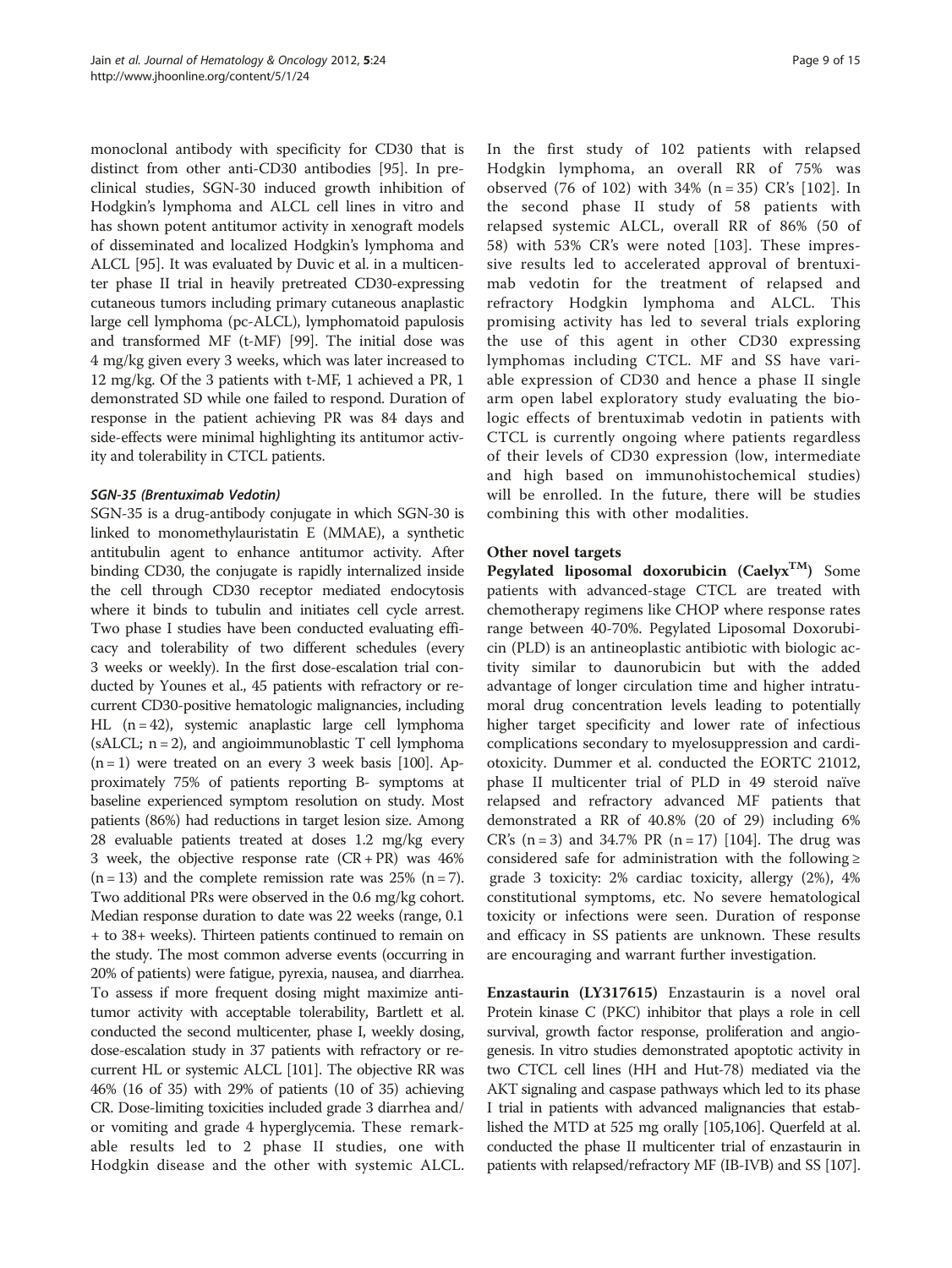monoclonal antibody with specificity for CD30 that is distinct from other anti-CD30 antibodies [\[95\]](#page-14-0). In preclinical studies, SGN-30 induced growth inhibition of Hodgkin's lymphoma and ALCL cell lines in vitro and has shown potent antitumor activity in xenograft models of disseminated and localized Hodgkin's lymphoma and ALCL [[95\]](#page-14-0). It was evaluated by Duvic et al. in a multicenter phase II trial in heavily pretreated CD30-expressing cutaneous tumors including primary cutaneous anaplastic large cell lymphoma (pc-ALCL), lymphomatoid papulosis and transformed MF (t-MF) [\[99\]](#page-14-0). The initial dose was 4 mg/kg given every 3 weeks, which was later increased to 12 mg/kg. Of the 3 patients with t-MF, 1 achieved a PR, 1 demonstrated SD while one failed to respond. Duration of response in the patient achieving PR was 84 days and side-effects were minimal highlighting its antitumor activity and tolerability in CTCL patients.

#### SGN-35 (Brentuximab Vedotin)

SGN-35 is a drug-antibody conjugate in which SGN-30 is linked to monomethylauristatin E (MMAE), a synthetic antitubulin agent to enhance antitumor activity. After binding CD30, the conjugate is rapidly internalized inside the cell through CD30 receptor mediated endocytosis where it binds to tubulin and initiates cell cycle arrest. Two phase I studies have been conducted evaluating efficacy and tolerability of two different schedules (every 3 weeks or weekly). In the first dose-escalation trial conducted by Younes et al., 45 patients with refractory or recurrent CD30-positive hematologic malignancies, including HL (n = 42), systemic anaplastic large cell lymphoma (sALCL;  $n = 2$ ), and angioimmunoblastic T cell lymphoma  $(n = 1)$  were treated on an every 3 week basis [\[100\]](#page-14-0). Approximately 75% of patients reporting B- symptoms at baseline experienced symptom resolution on study. Most patients (86%) had reductions in target lesion size. Among 28 evaluable patients treated at doses 1.2 mg/kg every 3 week, the objective response rate  $(CR + PR)$  was 46%  $(n = 13)$  and the complete remission rate was 25%  $(n = 7)$ . Two additional PRs were observed in the 0.6 mg/kg cohort. Median response duration to date was 22 weeks (range, 0.1 + to 38+ weeks). Thirteen patients continued to remain on the study. The most common adverse events (occurring in 20% of patients) were fatigue, pyrexia, nausea, and diarrhea. To assess if more frequent dosing might maximize antitumor activity with acceptable tolerability, Bartlett et al. conducted the second multicenter, phase I, weekly dosing, dose-escalation study in 37 patients with refractory or recurrent HL or systemic ALCL [\[101](#page-14-0)]. The objective RR was 46% (16 of 35) with 29% of patients (10 of 35) achieving CR. Dose-limiting toxicities included grade 3 diarrhea and/ or vomiting and grade 4 hyperglycemia. These remarkable results led to 2 phase II studies, one with Hodgkin disease and the other with systemic ALCL. In the first study of 102 patients with relapsed Hodgkin lymphoma, an overall RR of 75% was observed (76 of [102](#page-14-0)) with  $34\%$  (n = 35) CR's [102]. In the second phase II study of 58 patients with relapsed systemic ALCL, overall RR of 86% (50 of 58) with 53% CR's were noted [[103](#page-14-0)]. These impressive results led to accelerated approval of brentuximab vedotin for the treatment of relapsed and refractory Hodgkin lymphoma and ALCL. This promising activity has led to several trials exploring the use of this agent in other CD30 expressing lymphomas including CTCL. MF and SS have variable expression of CD30 and hence a phase II single arm open label exploratory study evaluating the biologic effects of brentuximab vedotin in patients with CTCL is currently ongoing where patients regardless of their levels of CD30 expression (low, intermediate and high based on immunohistochemical studies) will be enrolled. In the future, there will be studies combining this with other modalities.

## Other novel targets

Pegylated liposomal doxorubicin (Caelyx<sup>TM</sup>) Some patients with advanced-stage CTCL are treated with chemotherapy regimens like CHOP where response rates range between 40-70%. Pegylated Liposomal Doxorubicin (PLD) is an antineoplastic antibiotic with biologic activity similar to daunorubicin but with the added advantage of longer circulation time and higher intratumoral drug concentration levels leading to potentially higher target specificity and lower rate of infectious complications secondary to myelosuppression and cardiotoxicity. Dummer et al. conducted the EORTC 21012, phase II multicenter trial of PLD in 49 steroid naïve relapsed and refractory advanced MF patients that demonstrated a RR of 40.8% (20 of 29) including 6% CR's  $(n = 3)$  and 34.7% PR  $(n = 17)$  [\[104](#page-14-0)]. The drug was considered safe for administration with the following ≥ grade 3 toxicity: 2% cardiac toxicity, allergy (2%), 4% constitutional symptoms, etc. No severe hematological toxicity or infections were seen. Duration of response and efficacy in SS patients are unknown. These results are encouraging and warrant further investigation.

Enzastaurin (LY317615) Enzastaurin is a novel oral Protein kinase C (PKC) inhibitor that plays a role in cell survival, growth factor response, proliferation and angiogenesis. In vitro studies demonstrated apoptotic activity in two CTCL cell lines (HH and Hut-78) mediated via the AKT signaling and caspase pathways which led to its phase I trial in patients with advanced malignancies that established the MTD at 525 mg orally [\[105,106](#page-14-0)]. Querfeld at al. conducted the phase II multicenter trial of enzastaurin in patients with relapsed/refractory MF (IB-IVB) and SS [\[107](#page-14-0)].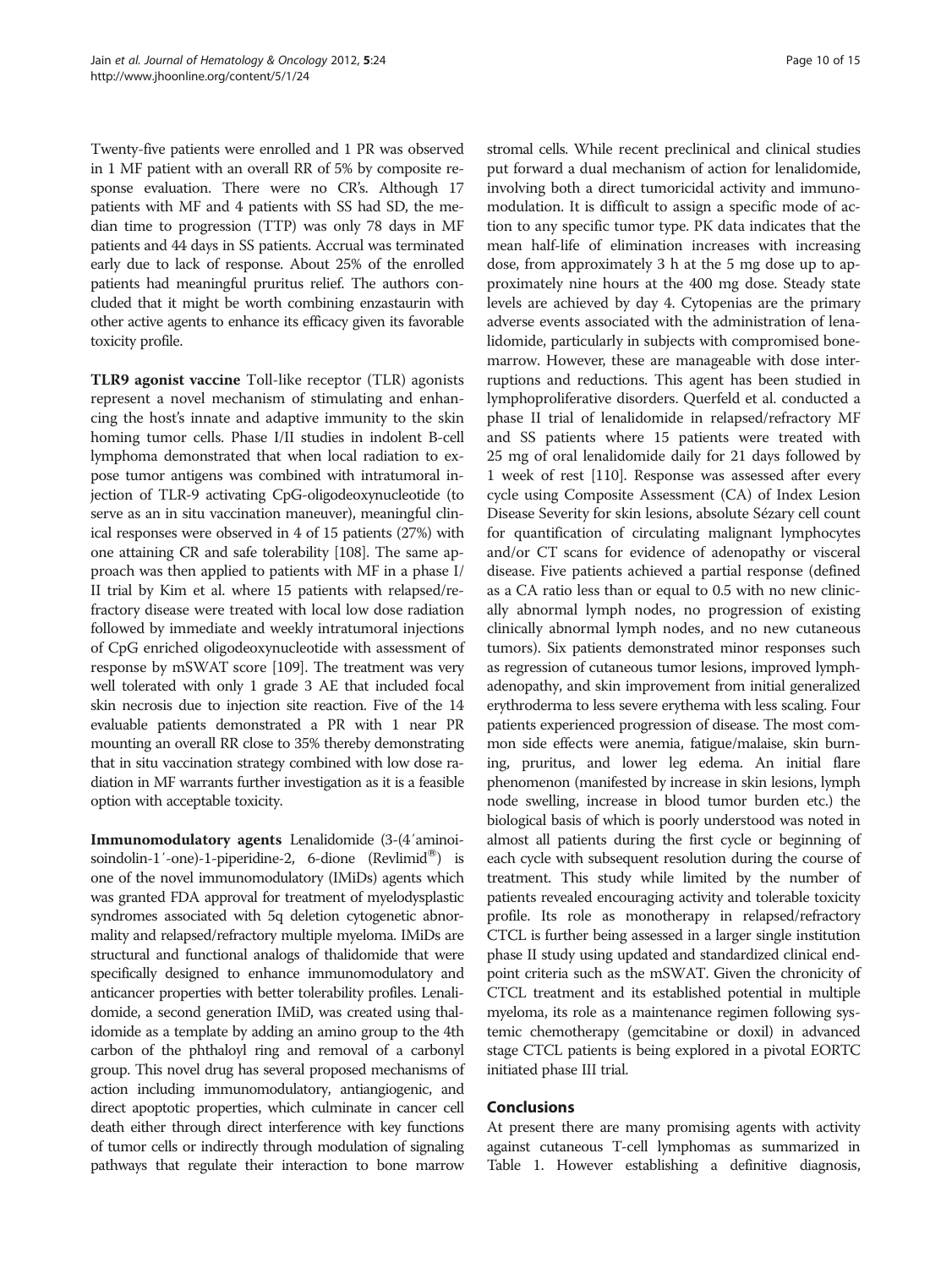Twenty-five patients were enrolled and 1 PR was observed in 1 MF patient with an overall RR of 5% by composite response evaluation. There were no CR's. Although 17 patients with MF and 4 patients with SS had SD, the median time to progression (TTP) was only 78 days in MF patients and 44 days in SS patients. Accrual was terminated early due to lack of response. About 25% of the enrolled patients had meaningful pruritus relief. The authors concluded that it might be worth combining enzastaurin with other active agents to enhance its efficacy given its favorable toxicity profile.

TLR9 agonist vaccine Toll-like receptor (TLR) agonists represent a novel mechanism of stimulating and enhancing the host's innate and adaptive immunity to the skin homing tumor cells. Phase I/II studies in indolent B-cell lymphoma demonstrated that when local radiation to expose tumor antigens was combined with intratumoral injection of TLR-9 activating CpG-oligodeoxynucleotide (to serve as an in situ vaccination maneuver), meaningful clinical responses were observed in 4 of 15 patients (27%) with one attaining CR and safe tolerability [\[108](#page-14-0)]. The same approach was then applied to patients with MF in a phase I/ II trial by Kim et al. where 15 patients with relapsed/refractory disease were treated with local low dose radiation followed by immediate and weekly intratumoral injections of CpG enriched oligodeoxynucleotide with assessment of response by mSWAT score [\[109\]](#page-14-0). The treatment was very well tolerated with only 1 grade 3 AE that included focal skin necrosis due to injection site reaction. Five of the 14 evaluable patients demonstrated a PR with 1 near PR mounting an overall RR close to 35% thereby demonstrating that in situ vaccination strategy combined with low dose radiation in MF warrants further investigation as it is a feasible option with acceptable toxicity.

Immunomodulatory agents Lenalidomide (3-(4′aminoisoindolin-1'-one)-1-piperidine-2, 6-dione (Revlimid<sup>®</sup>) is one of the novel immunomodulatory (IMiDs) agents which was granted FDA approval for treatment of myelodysplastic syndromes associated with 5q deletion cytogenetic abnormality and relapsed/refractory multiple myeloma. IMiDs are structural and functional analogs of thalidomide that were specifically designed to enhance immunomodulatory and anticancer properties with better tolerability profiles. Lenalidomide, a second generation IMiD, was created using thalidomide as a template by adding an amino group to the 4th carbon of the phthaloyl ring and removal of a carbonyl group. This novel drug has several proposed mechanisms of action including immunomodulatory, antiangiogenic, and direct apoptotic properties, which culminate in cancer cell death either through direct interference with key functions of tumor cells or indirectly through modulation of signaling pathways that regulate their interaction to bone marrow

stromal cells. While recent preclinical and clinical studies put forward a dual mechanism of action for lenalidomide, involving both a direct tumoricidal activity and immunomodulation. It is difficult to assign a specific mode of action to any specific tumor type. PK data indicates that the mean half-life of elimination increases with increasing dose, from approximately 3 h at the 5 mg dose up to approximately nine hours at the 400 mg dose. Steady state levels are achieved by day 4. Cytopenias are the primary adverse events associated with the administration of lenalidomide, particularly in subjects with compromised bonemarrow. However, these are manageable with dose interruptions and reductions. This agent has been studied in lymphoproliferative disorders. Querfeld et al. conducted a phase II trial of lenalidomide in relapsed/refractory MF and SS patients where 15 patients were treated with 25 mg of oral lenalidomide daily for 21 days followed by 1 week of rest [[110](#page-14-0)]. Response was assessed after every cycle using Composite Assessment (CA) of Index Lesion Disease Severity for skin lesions, absolute Sézary cell count for quantification of circulating malignant lymphocytes and/or CT scans for evidence of adenopathy or visceral disease. Five patients achieved a partial response (defined as a CA ratio less than or equal to 0.5 with no new clinically abnormal lymph nodes, no progression of existing clinically abnormal lymph nodes, and no new cutaneous tumors). Six patients demonstrated minor responses such as regression of cutaneous tumor lesions, improved lymphadenopathy, and skin improvement from initial generalized erythroderma to less severe erythema with less scaling. Four patients experienced progression of disease. The most common side effects were anemia, fatigue/malaise, skin burning, pruritus, and lower leg edema. An initial flare phenomenon (manifested by increase in skin lesions, lymph node swelling, increase in blood tumor burden etc.) the biological basis of which is poorly understood was noted in almost all patients during the first cycle or beginning of each cycle with subsequent resolution during the course of treatment. This study while limited by the number of patients revealed encouraging activity and tolerable toxicity profile. Its role as monotherapy in relapsed/refractory CTCL is further being assessed in a larger single institution phase II study using updated and standardized clinical endpoint criteria such as the mSWAT. Given the chronicity of CTCL treatment and its established potential in multiple myeloma, its role as a maintenance regimen following systemic chemotherapy (gemcitabine or doxil) in advanced stage CTCL patients is being explored in a pivotal EORTC initiated phase III trial.

## Conclusions

At present there are many promising agents with activity against cutaneous T-cell lymphomas as summarized in Table [1](#page-10-0). However establishing a definitive diagnosis,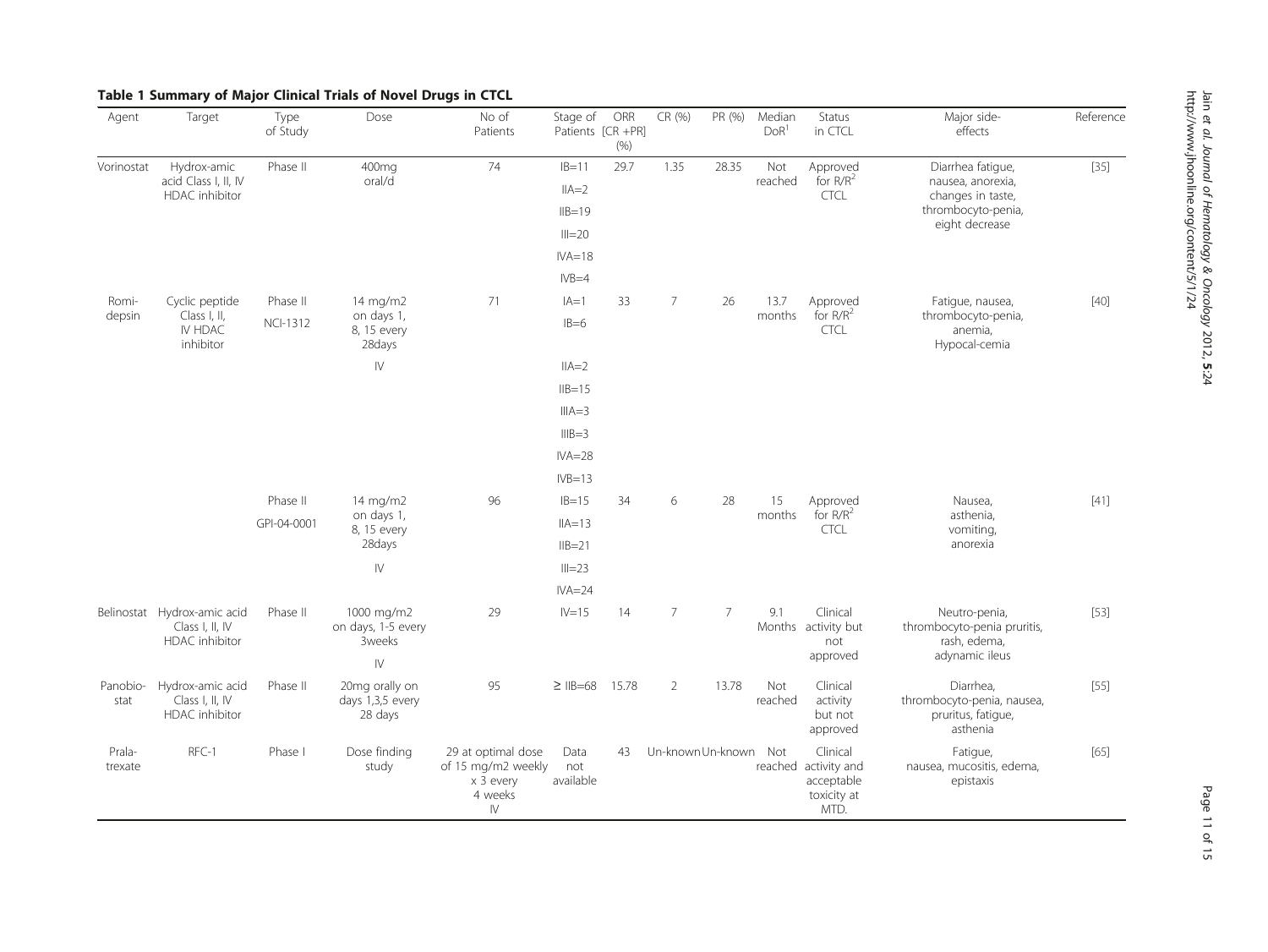| Agent             | Target                                                           | Type<br>of Study                     | Dose                                                                       | No of<br>Patients                                                                 | Stage of ORR<br>Patients [CR +PR] | (% )  | CR (%)                | PR (%)         | Median<br>DoR <sup>1</sup> | Status<br>in CTCL                                                     | Major side-<br>effects                                                                              | Reference |
|-------------------|------------------------------------------------------------------|--------------------------------------|----------------------------------------------------------------------------|-----------------------------------------------------------------------------------|-----------------------------------|-------|-----------------------|----------------|----------------------------|-----------------------------------------------------------------------|-----------------------------------------------------------------------------------------------------|-----------|
| Vorinostat        | Hydrox-amic<br>acid Class I, II, IV<br>HDAC inhibitor            | Phase II                             | 400mg<br>oral/d                                                            | 74                                                                                | $IB=11$<br>$IIA=2$                | 29.7  | 1.35                  | 28.35          | Not<br>reached             | Approved<br>for $R/R^2$<br>CTCL                                       | Diarrhea fatigue,<br>nausea, anorexia,<br>changes in taste,<br>thrombocyto-penia,<br>eight decrease | $[35]$    |
|                   |                                                                  |                                      |                                                                            |                                                                                   | $IIB=19$                          |       |                       |                |                            |                                                                       |                                                                                                     |           |
|                   |                                                                  |                                      |                                                                            |                                                                                   | $III = 20$                        |       |                       |                |                            |                                                                       |                                                                                                     |           |
|                   |                                                                  |                                      |                                                                            |                                                                                   | $IVA=18$                          |       |                       |                |                            |                                                                       |                                                                                                     |           |
|                   |                                                                  |                                      |                                                                            |                                                                                   | $IVB=4$                           |       |                       |                |                            |                                                                       |                                                                                                     |           |
| Romi-<br>depsin   | Cyclic peptide                                                   | Phase II                             | 14 mg/m2                                                                   | 71                                                                                | $IA=1$                            | 33    | $\overline{7}$        | 26             | 13.7<br>months             | Approved<br>for $R/R^2$<br>CTCL                                       | Fatique, nausea,<br>thrombocyto-penia,<br>anemia,<br>Hypocal-cemia                                  | $[40]$    |
|                   | Class I, II,<br>IV HDAC<br>inhibitor                             | <b>NCI-1312</b>                      | on days 1,<br>8, 15 every<br>28 days<br>${\sf IV}$<br>Phase II<br>14 mg/m2 |                                                                                   | $IB=6$                            |       |                       |                |                            |                                                                       |                                                                                                     |           |
|                   |                                                                  |                                      |                                                                            |                                                                                   | $IIA=2$                           |       |                       |                |                            |                                                                       |                                                                                                     |           |
|                   |                                                                  |                                      |                                                                            |                                                                                   | $IIB=15$                          |       |                       |                |                            |                                                                       |                                                                                                     |           |
|                   |                                                                  |                                      |                                                                            |                                                                                   | $IIIA=3$                          |       |                       |                |                            |                                                                       |                                                                                                     |           |
|                   |                                                                  |                                      |                                                                            |                                                                                   | $IIIB = 3$                        |       |                       |                |                            |                                                                       |                                                                                                     |           |
|                   |                                                                  |                                      |                                                                            |                                                                                   | $IVA=28$                          |       |                       |                |                            |                                                                       |                                                                                                     |           |
|                   |                                                                  |                                      |                                                                            |                                                                                   | $IVB=13$                          |       |                       |                |                            |                                                                       |                                                                                                     |           |
|                   |                                                                  |                                      |                                                                            | 96                                                                                | $IB=15$                           | 34    | 6                     | 28             | 15<br>months               | Approved<br>for $R/R^2$<br><b>CTCL</b>                                | Nausea,<br>asthenia,<br>vomiting,<br>anorexia                                                       | $[41]$    |
|                   |                                                                  | GPI-04-0001<br>28 days<br>${\sf IV}$ | on days 1,<br>8, 15 every                                                  |                                                                                   | $IIA=13$                          |       |                       |                |                            |                                                                       |                                                                                                     |           |
|                   |                                                                  |                                      |                                                                            |                                                                                   | $IIB = 21$                        |       |                       |                |                            |                                                                       |                                                                                                     |           |
|                   |                                                                  |                                      |                                                                            |                                                                                   | $III = 23$                        |       |                       |                |                            |                                                                       |                                                                                                     |           |
|                   |                                                                  |                                      |                                                                            |                                                                                   | $IVA=24$                          |       |                       |                |                            |                                                                       |                                                                                                     |           |
|                   | Belinostat Hydrox-amic acid<br>Class I, II, IV<br>HDAC inhibitor | Phase II                             | 1000 mg/m2<br>on days, 1-5 every<br>3weeks                                 | 29                                                                                | $IV=15$                           | 14    | $\overline{7}$        | $\overline{7}$ | 9.1                        | Clinical<br>Months activity but<br>not<br>approved                    | Neutro-penia,<br>thrombocyto-penia pruritis,<br>rash, edema,<br>adynamic ileus                      | $[53]$    |
|                   |                                                                  |                                      | $\mathsf{I}\mathsf{V}$                                                     |                                                                                   |                                   |       |                       |                |                            |                                                                       |                                                                                                     |           |
| Panobio-<br>stat  | Hydrox-amic acid<br>Class I, II, IV<br>HDAC inhibitor            | Phase II                             | 20mg orally on<br>days 1,3,5 every<br>28 days                              | 95                                                                                | $\geq$ IIB=68                     | 15.78 | $\overline{2}$        | 13.78          | Not<br>reached             | Clinical<br>activity<br>but not<br>approved                           | Diarrhea,<br>thrombocyto-penia, nausea,<br>pruritus, fatique,<br>asthenia                           | $[55]$    |
| Prala-<br>trexate | $RFC-1$                                                          | Phase I                              | Dose finding<br>study                                                      | 29 at optimal dose<br>of 15 mg/m2 weekly<br>x 3 every<br>4 weeks<br>$\mathsf{IV}$ | Data<br>not<br>available          | 43    | Un-known Un-known Not |                |                            | Clinical<br>reached activity and<br>acceptable<br>toxicity at<br>MTD. | Fatigue,<br>nausea, mucositis, edema,<br>epistaxis                                                  | $[65]$    |

# <span id="page-10-0"></span>Table 1 Summary of Major Clinical Trials of Novel Drugs in CTCL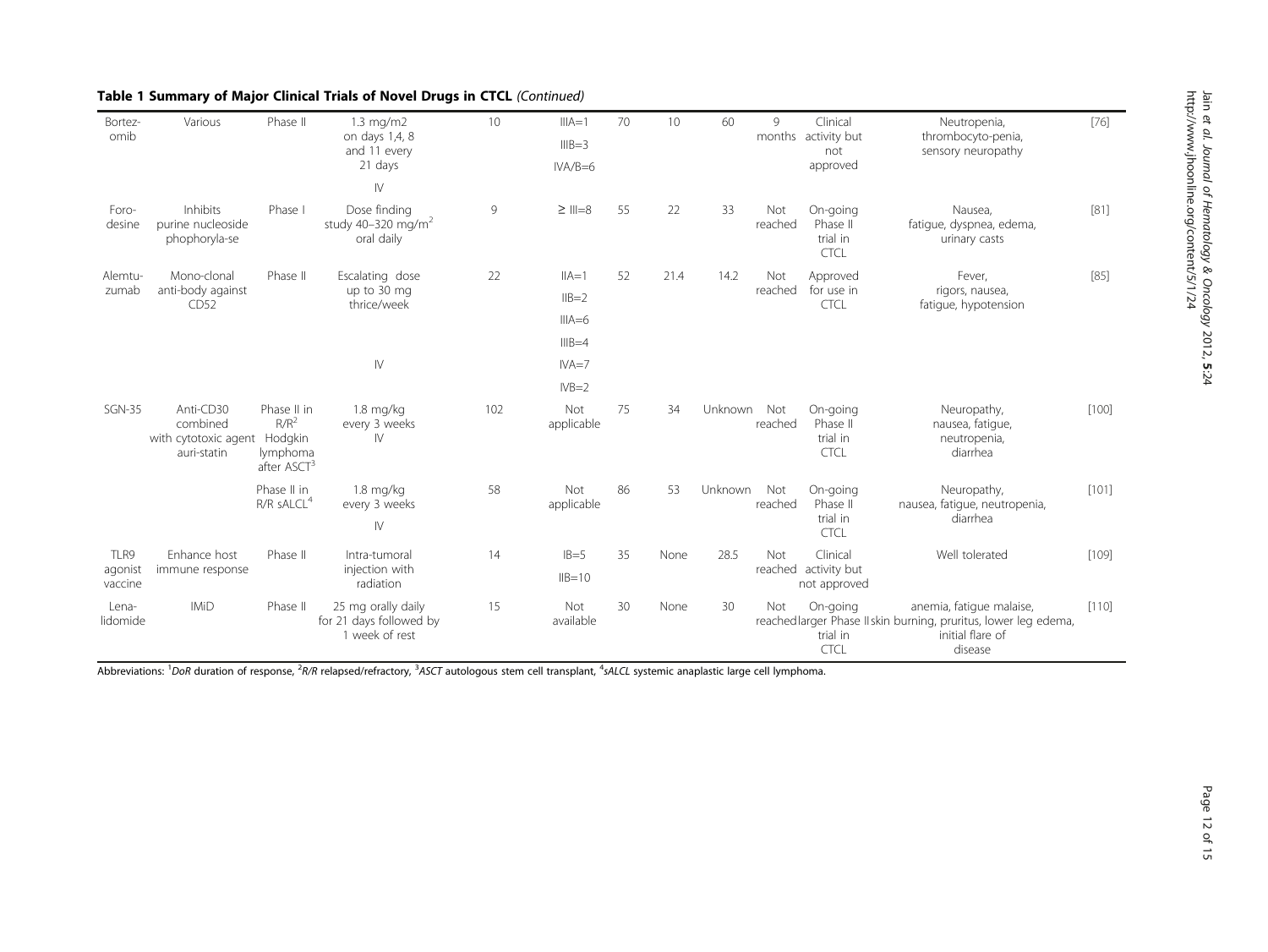|                                                             |         | Jain                                               |
|-------------------------------------------------------------|---------|----------------------------------------------------|
| Neutropenia,<br>thrombocyto-penia,<br>sensory neuropathy    | $[76]$  | tp://www.jhoonline.org/content/5/1/24              |
| Nausea,<br>tigue, dyspnea, edema,<br>urinary casts          | $[81]$  |                                                    |
| Fever,<br>rigors, nausea,<br>fatigue, hypotension           | $[85]$  | et al. Journal of Hematology & Oncology 2012, 5:24 |
| Neuropathy,<br>nausea, fatigue,<br>neutropenia,<br>diarrhea | $[100]$ |                                                    |

# Table 1 Summary of Major Clinical Trials of Novel Drugs in CTCL (Continued)

| Bortez-<br>omib            | Various                                                              | Phase II                                                      | $1.3 \text{ mg/m2}$<br>on days 1,4, 8<br>and 11 every<br>21 days<br>$\mathsf{I}\mathsf{V}$ | 10  | $IIIA=1$<br>$IIIB=3$<br>$IVA/B=6$                       | 70 | 10   | 60      | 9                     | Clinical<br>months activity but<br>not<br>approved | Neutropenia,<br>thrombocyto-penia,<br>sensory neuropathy                                                                  | $[76]$  |
|----------------------------|----------------------------------------------------------------------|---------------------------------------------------------------|--------------------------------------------------------------------------------------------|-----|---------------------------------------------------------|----|------|---------|-----------------------|----------------------------------------------------|---------------------------------------------------------------------------------------------------------------------------|---------|
| Foro-<br>desine            | <b>Inhibits</b><br>purine nucleoside<br>phophoryla-se                | Phase I                                                       | Dose finding<br>study 40-320 mg/m <sup>2</sup><br>oral daily                               | 9   | $\geq$ III $=$ 8                                        | 55 | 22   | 33      | Not<br>reached        | On-going<br>Phase II<br>trial in<br>CTCL           | Nausea,<br>fatique, dyspnea, edema,<br>urinary casts                                                                      | $[81]$  |
| Alemtu-<br>zumab           | Mono-clonal<br>anti-body against<br>CD52                             | Phase II                                                      | Escalating dose<br>up to 30 mg<br>thrice/week<br>$\mathsf{IV}$                             | 22  | $IIA=1$<br>$IIB=2$<br>$IIIA=6$<br>$IIIB=4$<br>$IVA = 7$ | 52 | 21.4 | 14.2    | Not<br>reached        | Approved<br>for use in<br><b>CTCL</b>              | Fever,<br>rigors, nausea,<br>fatigue, hypotension                                                                         | $[85]$  |
|                            |                                                                      |                                                               |                                                                                            |     | $IVB=2$                                                 |    |      |         |                       |                                                    |                                                                                                                           |         |
| <b>SGN-35</b>              | Anti-CD30<br>combined<br>with cytotoxic agent Hodgkin<br>auri-statin | Phase II in<br>$R/R^2$<br>lymphoma<br>after ASCT <sup>3</sup> | $1.8 \text{ mg/kg}$<br>every 3 weeks<br>$\mathsf{IV}$                                      | 102 | Not<br>applicable                                       | 75 | 34   | Unknown | <b>Not</b><br>reached | On-going<br>Phase II<br>trial in<br>CTCL           | Neuropathy,<br>nausea, fatique,<br>neutropenia,<br>diarrhea                                                               | $[100]$ |
|                            |                                                                      | Phase II in<br>$R/R$ sALCL <sup>4</sup>                       | $1.8$ mg/kg<br>every 3 weeks<br>$\mathsf{I}\mathsf{V}$                                     | 58  | Not<br>applicable                                       | 86 | 53   | Unknown | Not<br>reached        | On-going<br>Phase II<br>trial in<br><b>CTCL</b>    | Neuropathy,<br>nausea, fatigue, neutropenia,<br>diarrhea                                                                  | [101]   |
| TLR9<br>agonist<br>vaccine | Enhance host<br>immune response                                      | Phase II                                                      | Intra-tumoral<br>injection with<br>radiation                                               | 14  | $IB=5$<br>$IIB=10$                                      | 35 | None | 28.5    | Not<br>reached        | Clinical<br>activity but<br>not approved           | Well tolerated                                                                                                            | $[109]$ |
| Lena-<br>lidomide          | <b>IMiD</b>                                                          | Phase II                                                      | 25 mg orally daily<br>for 21 days followed by<br>1 week of rest                            | 15  | Not<br>available                                        | 30 | None | 30      | Not                   | On-going<br>trial in<br>CTCL                       | anemia, fatigue malaise,<br>reachedlarger Phase IIskin burning, pruritus, lower leg edema,<br>initial flare of<br>disease | $[110]$ |

Abbreviations: <sup>1</sup>DoR duration of response, <sup>2</sup>R/R relapsed/refractory, <sup>3</sup>ASCT autologous stem cell transplant, <sup>4</sup>sALCL systemic anaplastic large cell lymphoma.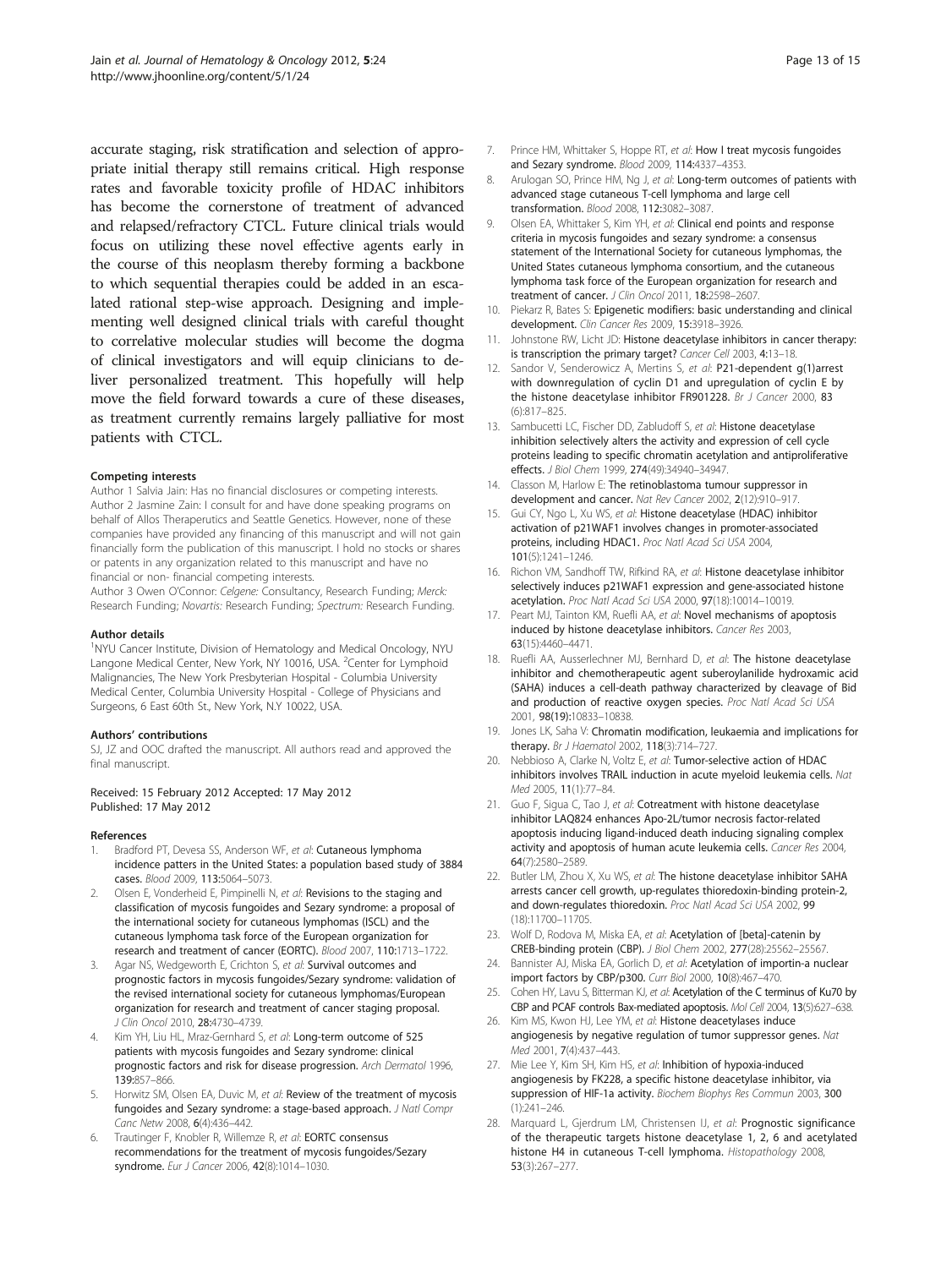<span id="page-12-0"></span>accurate staging, risk stratification and selection of appropriate initial therapy still remains critical. High response rates and favorable toxicity profile of HDAC inhibitors has become the cornerstone of treatment of advanced and relapsed/refractory CTCL. Future clinical trials would focus on utilizing these novel effective agents early in the course of this neoplasm thereby forming a backbone to which sequential therapies could be added in an escalated rational step-wise approach. Designing and implementing well designed clinical trials with careful thought to correlative molecular studies will become the dogma of clinical investigators and will equip clinicians to deliver personalized treatment. This hopefully will help move the field forward towards a cure of these diseases, as treatment currently remains largely palliative for most patients with CTCL.

#### Competing interests

Author 1 Salvia Jain: Has no financial disclosures or competing interests. Author 2 Jasmine Zain: I consult for and have done speaking programs on behalf of Allos Theraperutics and Seattle Genetics. However, none of these companies have provided any financing of this manuscript and will not gain financially form the publication of this manuscript. I hold no stocks or shares or patents in any organization related to this manuscript and have no financial or non- financial competing interests.

Author 3 Owen O'Connor: Celgene: Consultancy, Research Funding; Merck: Research Funding; Novartis: Research Funding; Spectrum: Research Funding.

#### Author details

<sup>1</sup>NYU Cancer Institute, Division of Hematology and Medical Oncology, NYU Langone Medical Center, New York, NY 10016, USA. <sup>2</sup>Center for Lymphoid Malignancies, The New York Presbyterian Hospital - Columbia University Medical Center, Columbia University Hospital - College of Physicians and Surgeons, 6 East 60th St., New York, N.Y 10022, USA.

#### Authors' contributions

SJ, JZ and OOC drafted the manuscript. All authors read and approved the final manuscript.

#### Received: 15 February 2012 Accepted: 17 May 2012 Published: 17 May 2012

#### References

- 1. Bradford PT, Devesa SS, Anderson WF, et al: Cutaneous lymphoma incidence patters in the United States: a population based study of 3884 cases. Blood 2009, 113:5064–5073.
- Olsen E, Vonderheid E, Pimpinelli N, et al: Revisions to the staging and classification of mycosis fungoides and Sezary syndrome: a proposal of the international society for cutaneous lymphomas (ISCL) and the cutaneous lymphoma task force of the European organization for research and treatment of cancer (EORTC). Blood 2007, 110:1713–1722.
- 3. Agar NS, Wedgeworth E, Crichton S, et al: Survival outcomes and prognostic factors in mycosis fungoides/Sezary syndrome: validation of the revised international society for cutaneous lymphomas/European organization for research and treatment of cancer staging proposal. J Clin Oncol 2010, 28:4730–4739.
- 4. Kim YH, Liu HL, Mraz-Gernhard S, et al: Long-term outcome of 525 patients with mycosis fungoides and Sezary syndrome: clinical prognostic factors and risk for disease progression. Arch Dermatol 1996, 139:857–866.
- Horwitz SM, Olsen EA, Duvic M, et al: Review of the treatment of mycosis fungoides and Sezary syndrome: a stage-based approach. J Natl Compr Canc Netw 2008, 6(4):436–442.
- Trautinger F, Knobler R, Willemze R, et al: EORTC consensus recommendations for the treatment of mycosis fungoides/Sezary syndrome. Eur J Cancer 2006, 42(8):1014-1030.
- 7. Prince HM, Whittaker S, Hoppe RT, et al: How I treat mycosis fungoides and Sezary syndrome. Blood 2009, 114:4337–4353.
- 8. Arulogan SO, Prince HM, Ng J, et al: Long-term outcomes of patients with advanced stage cutaneous T-cell lymphoma and large cell transformation. Blood 2008, 112:3082–3087.
- Olsen EA, Whittaker S, Kim YH, et al: Clinical end points and response criteria in mycosis fungoides and sezary syndrome: a consensus statement of the International Society for cutaneous lymphomas, the United States cutaneous lymphoma consortium, and the cutaneous lymphoma task force of the European organization for research and treatment of cancer. J Clin Oncol 2011, 18:2598-2607.
- 10. Piekarz R, Bates S: Epigenetic modifiers: basic understanding and clinical development. Clin Cancer Res 2009, 15:3918–3926.
- 11. Johnstone RW, Licht JD: Histone deacetylase inhibitors in cancer therapy: is transcription the primary target? Cancer Cell 2003, 4:13-18
- 12. Sandor V, Senderowicz A, Mertins S, et al: P21-dependent q(1)arrest with downregulation of cyclin D1 and upregulation of cyclin E by the histone deacetylase inhibitor FR901228. Br J Cancer 2000, 83 (6):817–825.
- 13. Sambucetti LC, Fischer DD, Zabludoff S, et al: Histone deacetylase inhibition selectively alters the activity and expression of cell cycle proteins leading to specific chromatin acetylation and antiproliferative effects. J Biol Chem 1999, 274(49):34940–34947.
- 14. Classon M, Harlow E: The retinoblastoma tumour suppressor in development and cancer. Nat Rev Cancer 2002, 2(12):910–917.
- 15. Gui CY, Ngo L, Xu WS, et al: Histone deacetylase (HDAC) inhibitor activation of p21WAF1 involves changes in promoter-associated proteins, including HDAC1. Proc Natl Acad Sci USA 2004, 101(5):1241–1246.
- 16. Richon VM, Sandhoff TW, Rifkind RA, et al: Histone deacetylase inhibitor selectively induces p21WAF1 expression and gene-associated histone acetylation. Proc Natl Acad Sci USA 2000, 97(18):10014–10019.
- 17. Peart MJ, Tainton KM, Ruefli AA, et al: Novel mechanisms of apoptosis induced by histone deacetylase inhibitors. Cancer Res 2003, 63(15):4460–4471.
- 18. Ruefli AA, Ausserlechner MJ, Bernhard D, et al: The histone deacetylase inhibitor and chemotherapeutic agent suberoylanilide hydroxamic acid (SAHA) induces a cell-death pathway characterized by cleavage of Bid and production of reactive oxygen species. Proc Natl Acad Sci USA 2001, 98(19):10833–10838.
- 19. Jones LK, Saha V: Chromatin modification, leukaemia and implications for therapy. Br J Haematol 2002, 118(3):714–727.
- 20. Nebbioso A, Clarke N, Voltz E, et al: Tumor-selective action of HDAC inhibitors involves TRAIL induction in acute myeloid leukemia cells. Nat Med 2005, 11(1):77–84.
- 21. Guo F, Sigua C, Tao J, et al: Cotreatment with histone deacetylase inhibitor LAQ824 enhances Apo-2L/tumor necrosis factor-related apoptosis inducing ligand-induced death inducing signaling complex activity and apoptosis of human acute leukemia cells. Cancer Res 2004, 64(7):2580–2589.
- 22. Butler LM, Zhou X, Xu WS, et al: The histone deacetylase inhibitor SAHA arrests cancer cell growth, up-regulates thioredoxin-binding protein-2, and down-regulates thioredoxin. Proc Natl Acad Sci USA 2002, 99 (18):11700–11705.
- 23. Wolf D, Rodova M, Miska EA, et al: Acetylation of [beta]-catenin by CREB-binding protein (CBP). J Biol Chem 2002, 277(28):25562–25567.
- 24. Bannister AJ, Miska EA, Gorlich D, et al: Acetylation of importin-a nuclear import factors by CBP/p300. Curr Biol 2000, 10(8):467–470.
- 25. Cohen HY, Lavu S, Bitterman KJ, et al: Acetylation of the C terminus of Ku70 by CBP and PCAF controls Bax-mediated apoptosis. Mol Cell 2004, 13(5):627–638.
- 26. Kim MS, Kwon HJ, Lee YM, et al: Histone deacetylases induce angiogenesis by negative regulation of tumor suppressor genes. Nat Med 2001, 7(4):437–443.
- 27. Mie Lee Y, Kim SH, Kim HS, et al: Inhibition of hypoxia-induced angiogenesis by FK228, a specific histone deacetylase inhibitor, via suppression of HIF-1a activity. Biochem Biophys Res Commun 2003, 300 (1):241–246.
- 28. Marquard L, Gjerdrum LM, Christensen IJ, et al: Prognostic significance of the therapeutic targets histone deacetylase 1, 2, 6 and acetylated histone H4 in cutaneous T-cell lymphoma. Histopathology 2008, 53(3):267–277.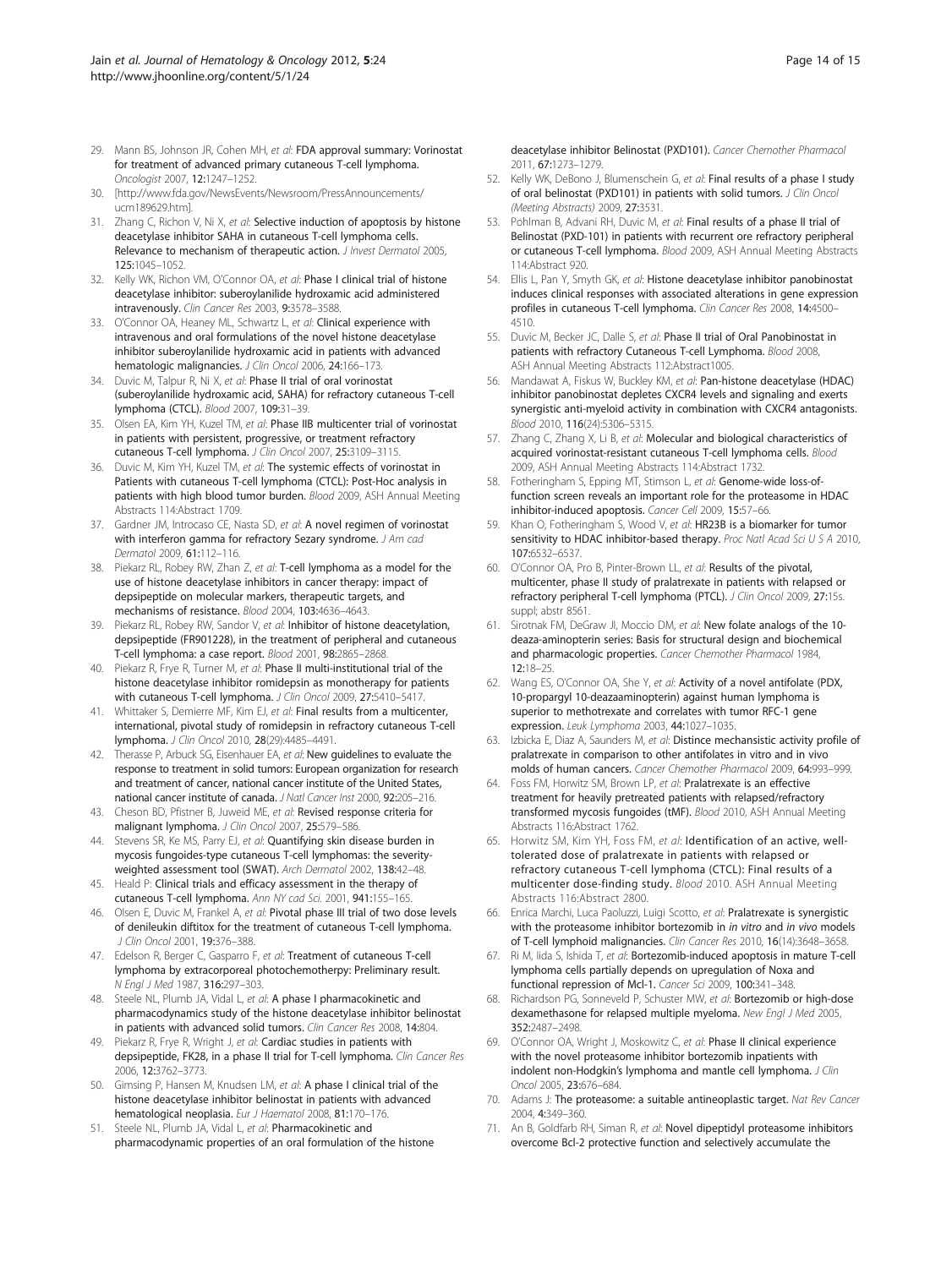- <span id="page-13-0"></span>29. Mann BS, Johnson JR, Cohen MH, et al: FDA approval summary: Vorinostat for treatment of advanced primary cutaneous T-cell lymphoma. Oncologist 2007, 12:1247–1252.
- 30. [[http://www.fda.gov/NewsEvents/Newsroom/PressAnnouncements/](http://www.fda.gov/NewsEvents/Newsroom/PressAnnouncements/ucm189629.htm) [ucm189629.htm\]](http://www.fda.gov/NewsEvents/Newsroom/PressAnnouncements/ucm189629.htm).
- 31. Zhang C, Richon V, Ni X, et al: Selective induction of apoptosis by histone deacetylase inhibitor SAHA in cutaneous T-cell lymphoma cells. Relevance to mechanism of therapeutic action. J Invest Dermatol 2005, 125:1045–1052.
- 32. Kelly WK, Richon VM, O'Connor OA, et al: Phase I clinical trial of histone deacetylase inhibitor: suberoylanilide hydroxamic acid administered intravenously. Clin Cancer Res 2003, 9:3578–3588.
- 33. O'Connor OA, Heaney ML, Schwartz L, et al: Clinical experience with intravenous and oral formulations of the novel histone deacetylase inhibitor suberoylanilide hydroxamic acid in patients with advanced hematologic malignancies. J Clin Oncol 2006, 24:166-173.
- 34. Duvic M, Talpur R, Ni X, et al: Phase II trial of oral vorinostat (suberoylanilide hydroxamic acid, SAHA) for refractory cutaneous T-cell lymphoma (CTCL). Blood 2007, 109:31–39.
- 35. Olsen EA, Kim YH, Kuzel TM, et al: Phase IIB multicenter trial of vorinostat in patients with persistent, progressive, or treatment refractory cutaneous T-cell lymphoma. J Clin Oncol 2007, 25:3109–3115.
- 36. Duvic M, Kim YH, Kuzel TM, et al: The systemic effects of vorinostat in Patients with cutaneous T-cell lymphoma (CTCL): Post-Hoc analysis in patients with high blood tumor burden. Blood 2009, ASH Annual Meeting Abstracts 114:Abstract 1709.
- 37. Gardner JM, Introcaso CE, Nasta SD, et al: A novel regimen of vorinostat with interferon gamma for refractory Sezary syndrome. J Am cad Dermatol 2009, 61:112–116.
- 38. Piekarz RL, Robey RW, Zhan Z, et al: T-cell lymphoma as a model for the use of histone deacetylase inhibitors in cancer therapy: impact of depsipeptide on molecular markers, therapeutic targets, and mechanisms of resistance. Blood 2004, 103:4636–4643.
- 39. Piekarz RL, Robey RW, Sandor V, et al: Inhibitor of histone deacetylation, depsipeptide (FR901228), in the treatment of peripheral and cutaneous T-cell lymphoma: a case report. Blood 2001, 98:2865–2868.
- 40. Piekarz R, Frye R, Turner M, et al: Phase II multi-institutional trial of the histone deacetylase inhibitor romidepsin as monotherapy for patients with cutaneous T-cell lymphoma. J Clin Oncol 2009, 27:5410-5417.
- 41. Whittaker S, Demierre MF, Kim EJ, et al: Final results from a multicenter, international, pivotal study of romidepsin in refractory cutaneous T-cell lymphoma. J Clin Oncol 2010, 28(29):4485–4491.
- 42. Therasse P, Arbuck SG, Eisenhauer EA, et al: New guidelines to evaluate the response to treatment in solid tumors: European organization for research and treatment of cancer, national cancer institute of the United States, national cancer institute of canada. J Natl Cancer Inst 2000, 92:205–216.
- 43. Cheson BD, Pfistner B, Juweid ME, et al: Revised response criteria for malignant lymphoma. J Clin Oncol 2007, 25:579-586.
- 44. Stevens SR, Ke MS, Parry EJ, et al: Quantifying skin disease burden in mycosis fungoides-type cutaneous T-cell lymphomas: the severityweighted assessment tool (SWAT). Arch Dermatol 2002, 138:42–48.
- 45. Heald P: Clinical trials and efficacy assessment in the therapy of cutaneous T-cell lymphoma. Ann NY cad Sci. 2001, 941:155–165.
- 46. Olsen E, Duvic M, Frankel A, et al: Pivotal phase III trial of two dose levels of denileukin diftitox for the treatment of cutaneous T-cell lymphoma. J Clin Oncol 2001, 19:376-388.
- 47. Edelson R, Berger C, Gasparro F, et al: Treatment of cutaneous T-cell lymphoma by extracorporeal photochemotherpy: Preliminary result. N Engl J Med 1987, 316:297–303.
- 48. Steele NL, Plumb JA, Vidal L, et al: A phase I pharmacokinetic and pharmacodynamics study of the histone deacetylase inhibitor belinostat in patients with advanced solid tumors. Clin Cancer Res 2008, 14:804.
- 49. Piekarz R, Frye R, Wright J, et al: Cardiac studies in patients with depsipeptide, FK28, in a phase II trial for T-cell lymphoma. Clin Cancer Res 2006, 12:3762–3773.
- 50. Gimsing P, Hansen M, Knudsen LM, et al: A phase I clinical trial of the histone deacetylase inhibitor belinostat in patients with advanced hematological neoplasia. Eur J Haematol 2008, 81:170–176.
- 51. Steele NL, Plumb JA, Vidal L, et al: Pharmacokinetic and pharmacodynamic properties of an oral formulation of the histone

deacetylase inhibitor Belinostat (PXD101). Cancer Chemother Pharmacol 2011, 67:1273–1279.

- 52. Kelly WK, DeBono J, Blumenschein G, et al: Final results of a phase I study of oral belinostat (PXD101) in patients with solid tumors. J Clin Oncol (Meeting Abstracts) 2009, 27:3531.
- 53. Pohlman B, Advani RH, Duvic M, et al: Final results of a phase II trial of Belinostat (PXD-101) in patients with recurrent ore refractory peripheral or cutaneous T-cell lymphoma. Blood 2009, ASH Annual Meeting Abstracts 114:Abstract 920.
- 54. Ellis L, Pan Y, Smyth GK, et al: Histone deacetylase inhibitor panobinostat induces clinical responses with associated alterations in gene expression profiles in cutaneous T-cell lymphoma. Clin Cancer Res 2008, 14:4500-4510.
- 55. Duvic M, Becker JC, Dalle S, et al: Phase II trial of Oral Panobinostat in patients with refractory Cutaneous T-cell Lymphoma. Blood 2008, ASH Annual Meeting Abstracts 112:Abstract1005.
- 56. Mandawat A, Fiskus W, Buckley KM, et al: Pan-histone deacetylase (HDAC) inhibitor panobinostat depletes CXCR4 levels and signaling and exerts synergistic anti-myeloid activity in combination with CXCR4 antagonists. Blood 2010, 116(24):5306–5315.
- 57. Zhang C, Zhang X, Li B, et al: Molecular and biological characteristics of acquired vorinostat-resistant cutaneous T-cell lymphoma cells. Blood 2009, ASH Annual Meeting Abstracts 114:Abstract 1732.
- Fotheringham S, Epping MT, Stimson L, et al: Genome-wide loss-offunction screen reveals an important role for the proteasome in HDAC inhibitor-induced apoptosis. Cancer Cell 2009, 15:57–66.
- Khan O, Fotheringham S, Wood V, et al: HR23B is a biomarker for tumor sensitivity to HDAC inhibitor-based therapy. Proc Natl Acad Sci U S A 2010, 107:6532–6537.
- 60. O'Connor OA, Pro B, Pinter-Brown LL, et al: Results of the pivotal, multicenter, phase II study of pralatrexate in patients with relapsed or refractory peripheral T-cell lymphoma (PTCL). J Clin Oncol 2009, 27:15s. suppl; abstr 8561.
- 61. Sirotnak FM, DeGraw JI, Moccio DM, et al: New folate analogs of the 10 deaza-aminopterin series: Basis for structural design and biochemical and pharmacologic properties. Cancer Chemother Pharmacol 1984, 12:18–25.
- 62. Wang ES, O'Connor OA, She Y, et al: Activity of a novel antifolate (PDX, 10-propargyl 10-deazaaminopterin) against human lymphoma is superior to methotrexate and correlates with tumor RFC-1 gene expression. Leuk Lymphoma 2003, 44:1027–1035.
- 63. Izbicka E, Diaz A, Saunders M, et al: Distince mechansistic activity profile of pralatrexate in comparison to other antifolates in vitro and in vivo molds of human cancers. Cancer Chemother Pharmacol 2009, 64:993-999.
- 64. Foss FM, Horwitz SM, Brown LP, et al: Pralatrexate is an effective treatment for heavily pretreated patients with relapsed/refractory transformed mycosis fungoides (tMF). Blood 2010, ASH Annual Meeting Abstracts 116:Abstract 1762.
- 65. Horwitz SM, Kim YH, Foss FM, et al: Identification of an active, welltolerated dose of pralatrexate in patients with relapsed or refractory cutaneous T-cell lymphoma (CTCL): Final results of a multicenter dose-finding study. Blood 2010. ASH Annual Meeting Abstracts 116:Abstract 2800.
- 66. Enrica Marchi, Luca Paoluzzi, Luigi Scotto, et al: Pralatrexate is synergistic with the proteasome inhibitor bortezomib in *in vitro* and *in vivo* models of T-cell lymphoid malignancies. Clin Cancer Res 2010, 16(14):3648–3658.
- 67. Ri M, Iida S, Ishida T, et al: Bortezomib-induced apoptosis in mature T-cell lymphoma cells partially depends on upregulation of Noxa and functional repression of Mcl-1. Cancer Sci 2009, 100:341–348.
- 68. Richardson PG, Sonneveld P, Schuster MW, et al: Bortezomib or high-dose dexamethasone for relapsed multiple myeloma. New Engl J Med 2005, 352:2487–2498.
- 69. O'Connor OA, Wright J, Moskowitz C, et al: Phase II clinical experience with the novel proteasome inhibitor bortezomib inpatients with indolent non-Hodgkin's lymphoma and mantle cell lymphoma. J Clin Oncol 2005, 23:676–684.
- 70. Adams J: The proteasome: a suitable antineoplastic target. Nat Rev Cancer 2004, 4:349–360.
- 71. An B, Goldfarb RH, Siman R, et al: Novel dipeptidyl proteasome inhibitors overcome Bcl-2 protective function and selectively accumulate the